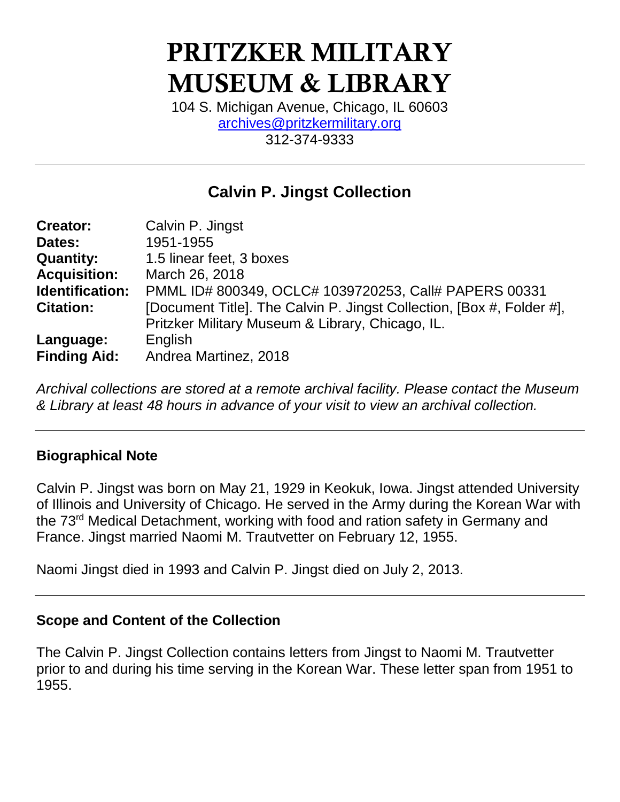# PRITZKER MILITARY MUSEUM & LIBRARY

104 S. Michigan Avenue, Chicago, IL 60603 [archives@pritzkermilitary.org](mailto:archives@pritzkermilitary.org) 312-374-9333

### **Calvin P. Jingst Collection**

| <b>Creator:</b>     | Calvin P. Jingst                                                      |
|---------------------|-----------------------------------------------------------------------|
| Dates:              | 1951-1955                                                             |
| <b>Quantity:</b>    | 1.5 linear feet, 3 boxes                                              |
| <b>Acquisition:</b> | March 26, 2018                                                        |
| Identification:     | PMML ID# 800349, OCLC# 1039720253, Call# PAPERS 00331                 |
| <b>Citation:</b>    | [Document Title]. The Calvin P. Jingst Collection, [Box #, Folder #], |
|                     | Pritzker Military Museum & Library, Chicago, IL.                      |
| Language:           | English                                                               |
| <b>Finding Aid:</b> | Andrea Martinez, 2018                                                 |

*Archival collections are stored at a remote archival facility. Please contact the Museum & Library at least 48 hours in advance of your visit to view an archival collection.*

#### **Biographical Note**

Calvin P. Jingst was born on May 21, 1929 in Keokuk, Iowa. Jingst attended University of Illinois and University of Chicago. He served in the Army during the Korean War with the 73rd Medical Detachment, working with food and ration safety in Germany and France. Jingst married Naomi M. Trautvetter on February 12, 1955.

Naomi Jingst died in 1993 and Calvin P. Jingst died on July 2, 2013.

#### **Scope and Content of the Collection**

The Calvin P. Jingst Collection contains letters from Jingst to Naomi M. Trautvetter prior to and during his time serving in the Korean War. These letter span from 1951 to 1955.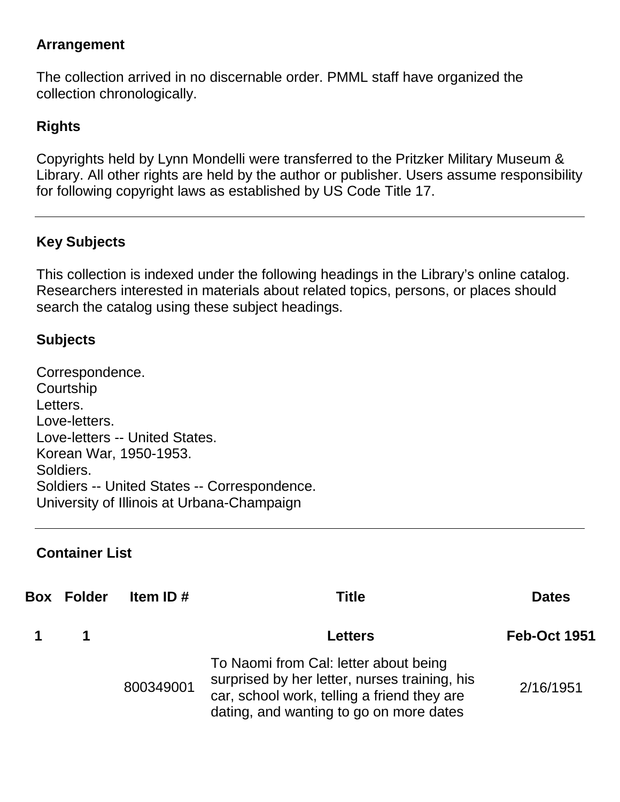#### **Arrangement**

The collection arrived in no discernable order. PMML staff have organized the collection chronologically.

#### **Rights**

Copyrights held by Lynn Mondelli were transferred to the Pritzker Military Museum & Library. All other rights are held by the author or publisher. Users assume responsibility for following copyright laws as established by US Code Title 17.

#### **Key Subjects**

This collection is indexed under the following headings in the Library's online catalog. Researchers interested in materials about related topics, persons, or places should search the catalog using these subject headings.

#### **Subjects**

Correspondence. **Courtship** Letters. Love-letters. Love-letters -- United States. Korean War, 1950-1953. Soldiers. Soldiers -- United States -- Correspondence. University of Illinois at Urbana-Champaign

#### **Container List**

| <b>Box Folder</b> | Item ID $#$ | Title                                                                                                                                                                            | <b>Dates</b>        |
|-------------------|-------------|----------------------------------------------------------------------------------------------------------------------------------------------------------------------------------|---------------------|
| $\blacksquare$    |             | <b>Letters</b>                                                                                                                                                                   | <b>Feb-Oct 1951</b> |
|                   | 800349001   | To Naomi from Cal: letter about being<br>surprised by her letter, nurses training, his<br>car, school work, telling a friend they are<br>dating, and wanting to go on more dates | 2/16/1951           |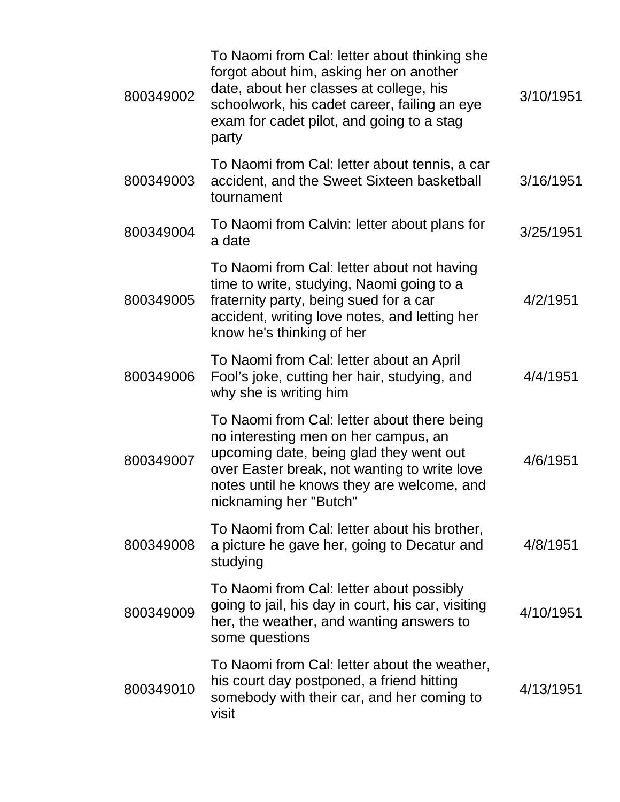| 800349002 | To Naomi from Cal: letter about thinking she<br>forgot about him, asking her on another<br>date, about her classes at college, his<br>schoolwork, his cadet career, failing an eye<br>exam for cadet pilot, and going to a stag<br>party               | 3/10/1951 |
|-----------|--------------------------------------------------------------------------------------------------------------------------------------------------------------------------------------------------------------------------------------------------------|-----------|
| 800349003 | To Naomi from Cal: letter about tennis, a car<br>accident, and the Sweet Sixteen basketball<br>tournament                                                                                                                                              | 3/16/1951 |
| 800349004 | To Naomi from Calvin: letter about plans for<br>a date                                                                                                                                                                                                 | 3/25/1951 |
| 800349005 | To Naomi from Cal: letter about not having<br>time to write, studying, Naomi going to a<br>fraternity party, being sued for a car<br>accident, writing love notes, and letting her<br>know he's thinking of her                                        | 4/2/1951  |
| 800349006 | To Naomi from Cal: letter about an April<br>Fool's joke, cutting her hair, studying, and<br>why she is writing him                                                                                                                                     | 4/4/1951  |
| 800349007 | To Naomi from Cal: letter about there being<br>no interesting men on her campus, an<br>upcoming date, being glad they went out<br>over Easter break, not wanting to write love<br>notes until he knows they are welcome, and<br>nicknaming her "Butch" | 4/6/1951  |
| 800349008 | To Naomi from Cal: letter about his brother,<br>a picture he gave her, going to Decatur and<br>studying                                                                                                                                                | 4/8/1951  |
| 800349009 | To Naomi from Cal: letter about possibly<br>going to jail, his day in court, his car, visiting<br>her, the weather, and wanting answers to<br>some questions                                                                                           | 4/10/1951 |
| 800349010 | To Naomi from Cal: letter about the weather,<br>his court day postponed, a friend hitting<br>somebody with their car, and her coming to<br>visit                                                                                                       | 4/13/1951 |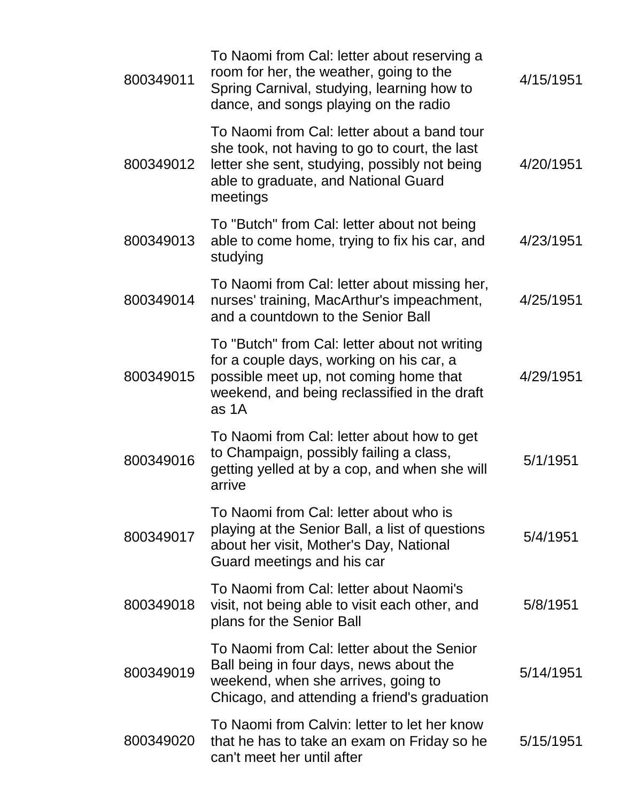| 800349011 | To Naomi from Cal: letter about reserving a<br>room for her, the weather, going to the<br>Spring Carnival, studying, learning how to<br>dance, and songs playing on the radio                     | 4/15/1951 |
|-----------|---------------------------------------------------------------------------------------------------------------------------------------------------------------------------------------------------|-----------|
| 800349012 | To Naomi from Cal: letter about a band tour<br>she took, not having to go to court, the last<br>letter she sent, studying, possibly not being<br>able to graduate, and National Guard<br>meetings | 4/20/1951 |
| 800349013 | To "Butch" from Cal: letter about not being<br>able to come home, trying to fix his car, and<br>studying                                                                                          | 4/23/1951 |
| 800349014 | To Naomi from Cal: letter about missing her,<br>nurses' training, MacArthur's impeachment,<br>and a countdown to the Senior Ball                                                                  | 4/25/1951 |
| 800349015 | To "Butch" from Cal: letter about not writing<br>for a couple days, working on his car, a<br>possible meet up, not coming home that<br>weekend, and being reclassified in the draft<br>as 1A      | 4/29/1951 |
| 800349016 | To Naomi from Cal: letter about how to get<br>to Champaign, possibly failing a class,<br>getting yelled at by a cop, and when she will<br>arrive                                                  | 5/1/1951  |
| 800349017 | To Naomi from Cal: letter about who is<br>playing at the Senior Ball, a list of questions<br>about her visit, Mother's Day, National<br>Guard meetings and his car                                | 5/4/1951  |
| 800349018 | To Naomi from Cal: letter about Naomi's<br>visit, not being able to visit each other, and<br>plans for the Senior Ball                                                                            | 5/8/1951  |
| 800349019 | To Naomi from Cal: letter about the Senior<br>Ball being in four days, news about the<br>weekend, when she arrives, going to<br>Chicago, and attending a friend's graduation                      | 5/14/1951 |
| 800349020 | To Naomi from Calvin: letter to let her know<br>that he has to take an exam on Friday so he<br>can't meet her until after                                                                         | 5/15/1951 |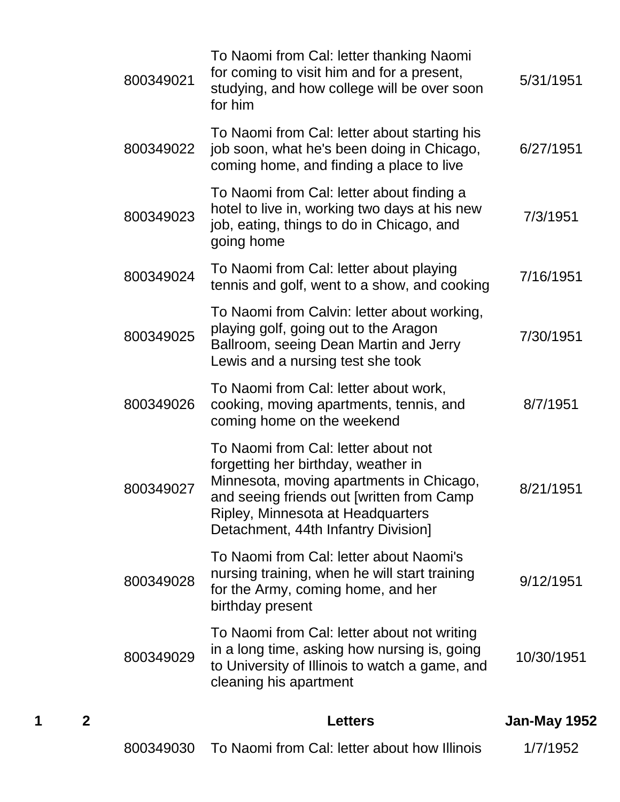| 1 | $\mathbf{2}$ |           | <b>Letters</b>                                                                                                                                                                                                                                  | Jan-May 1952 |
|---|--------------|-----------|-------------------------------------------------------------------------------------------------------------------------------------------------------------------------------------------------------------------------------------------------|--------------|
|   |              | 800349029 | To Naomi from Cal: letter about not writing<br>in a long time, asking how nursing is, going<br>to University of Illinois to watch a game, and<br>cleaning his apartment                                                                         | 10/30/1951   |
|   |              | 800349028 | To Naomi from Cal: letter about Naomi's<br>nursing training, when he will start training<br>for the Army, coming home, and her<br>birthday present                                                                                              | 9/12/1951    |
|   |              | 800349027 | To Naomi from Cal: letter about not<br>forgetting her birthday, weather in<br>Minnesota, moving apartments in Chicago,<br>and seeing friends out [written from Camp<br>Ripley, Minnesota at Headquarters<br>Detachment, 44th Infantry Division] | 8/21/1951    |
|   |              | 800349026 | To Naomi from Cal: letter about work,<br>cooking, moving apartments, tennis, and<br>coming home on the weekend                                                                                                                                  | 8/7/1951     |
|   |              | 800349025 | To Naomi from Calvin: letter about working,<br>playing golf, going out to the Aragon<br>Ballroom, seeing Dean Martin and Jerry<br>Lewis and a nursing test she took                                                                             | 7/30/1951    |
|   |              | 800349024 | To Naomi from Cal: letter about playing<br>tennis and golf, went to a show, and cooking                                                                                                                                                         | 7/16/1951    |
|   |              | 800349023 | To Naomi from Cal: letter about finding a<br>hotel to live in, working two days at his new<br>job, eating, things to do in Chicago, and<br>going home                                                                                           | 7/3/1951     |
|   |              | 800349022 | To Naomi from Cal: letter about starting his<br>job soon, what he's been doing in Chicago,<br>coming home, and finding a place to live                                                                                                          | 6/27/1951    |
|   |              | 800349021 | To Naomi from Cal: letter thanking Naomi<br>for coming to visit him and for a present,<br>studying, and how college will be over soon<br>for him                                                                                                | 5/31/1951    |

|  | 800349030 To Naomi from Cal: letter about how Illinois | 1/7/1952 |
|--|--------------------------------------------------------|----------|
|--|--------------------------------------------------------|----------|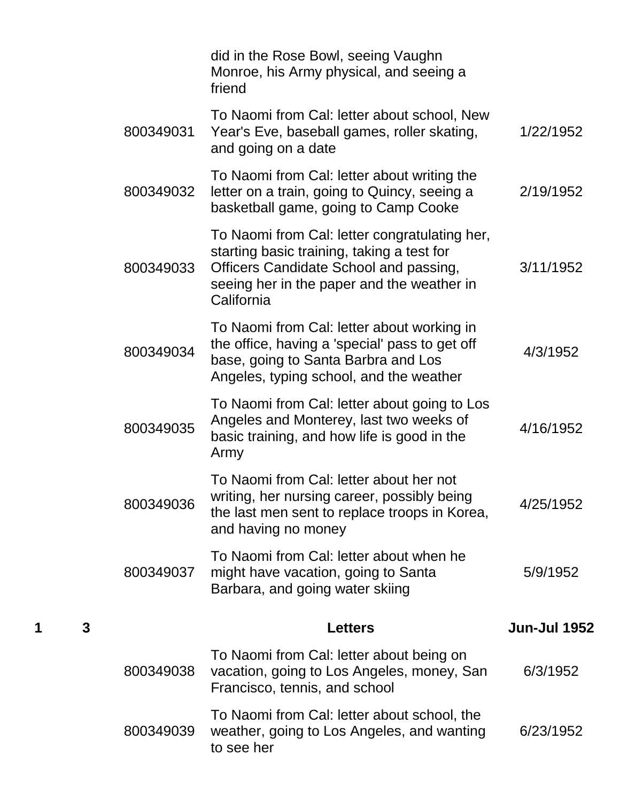|   |   |           | did in the Rose Bowl, seeing Vaughn<br>Monroe, his Army physical, and seeing a<br>friend                                                                                                          |                     |
|---|---|-----------|---------------------------------------------------------------------------------------------------------------------------------------------------------------------------------------------------|---------------------|
|   |   | 800349031 | To Naomi from Cal: letter about school, New<br>Year's Eve, baseball games, roller skating,<br>and going on a date                                                                                 | 1/22/1952           |
|   |   | 800349032 | To Naomi from Cal: letter about writing the<br>letter on a train, going to Quincy, seeing a<br>basketball game, going to Camp Cooke                                                               | 2/19/1952           |
|   |   | 800349033 | To Naomi from Cal: letter congratulating her,<br>starting basic training, taking a test for<br>Officers Candidate School and passing,<br>seeing her in the paper and the weather in<br>California | 3/11/1952           |
|   |   | 800349034 | To Naomi from Cal: letter about working in<br>the office, having a 'special' pass to get off<br>base, going to Santa Barbra and Los<br>Angeles, typing school, and the weather                    | 4/3/1952            |
|   |   | 800349035 | To Naomi from Cal: letter about going to Los<br>Angeles and Monterey, last two weeks of<br>basic training, and how life is good in the<br>Army                                                    | 4/16/1952           |
|   |   | 800349036 | To Naomi from Cal: letter about her not<br>writing, her nursing career, possibly being<br>the last men sent to replace troops in Korea,<br>and having no money                                    | 4/25/1952           |
|   |   | 800349037 | To Naomi from Cal: letter about when he<br>might have vacation, going to Santa<br>Barbara, and going water skiing                                                                                 | 5/9/1952            |
| 1 | 3 |           | <b>Letters</b>                                                                                                                                                                                    | <b>Jun-Jul 1952</b> |
|   |   | 800349038 | To Naomi from Cal: letter about being on<br>vacation, going to Los Angeles, money, San<br>Francisco, tennis, and school                                                                           | 6/3/1952            |
|   |   | 800349039 | To Naomi from Cal: letter about school, the<br>weather, going to Los Angeles, and wanting<br>to see her                                                                                           | 6/23/1952           |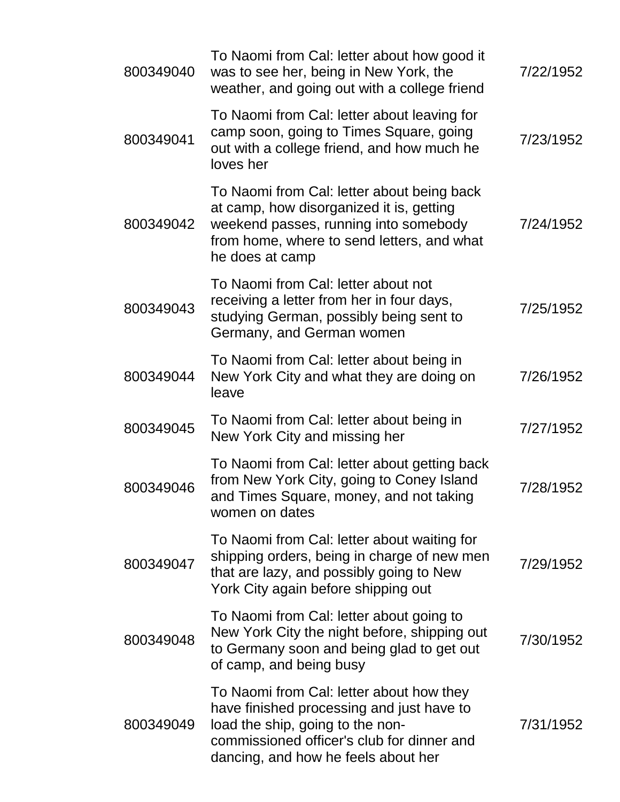| 800349040 | To Naomi from Cal: letter about how good it<br>was to see her, being in New York, the<br>weather, and going out with a college friend                                                                          | 7/22/1952 |
|-----------|----------------------------------------------------------------------------------------------------------------------------------------------------------------------------------------------------------------|-----------|
| 800349041 | To Naomi from Cal: letter about leaving for<br>camp soon, going to Times Square, going<br>out with a college friend, and how much he<br>loves her                                                              | 7/23/1952 |
| 800349042 | To Naomi from Cal: letter about being back<br>at camp, how disorganized it is, getting<br>weekend passes, running into somebody<br>from home, where to send letters, and what<br>he does at camp               | 7/24/1952 |
| 800349043 | To Naomi from Cal: letter about not<br>receiving a letter from her in four days,<br>studying German, possibly being sent to<br>Germany, and German women                                                       | 7/25/1952 |
| 800349044 | To Naomi from Cal: letter about being in<br>New York City and what they are doing on<br>leave                                                                                                                  | 7/26/1952 |
| 800349045 | To Naomi from Cal: letter about being in<br>New York City and missing her                                                                                                                                      | 7/27/1952 |
| 800349046 | To Naomi from Cal: letter about getting back<br>from New York City, going to Coney Island<br>and Times Square, money, and not taking<br>women on dates                                                         | 7/28/1952 |
| 800349047 | To Naomi from Cal: letter about waiting for<br>shipping orders, being in charge of new men<br>that are lazy, and possibly going to New<br>York City again before shipping out                                  | 7/29/1952 |
| 800349048 | To Naomi from Cal: letter about going to<br>New York City the night before, shipping out<br>to Germany soon and being glad to get out<br>of camp, and being busy                                               | 7/30/1952 |
| 800349049 | To Naomi from Cal: letter about how they<br>have finished processing and just have to<br>load the ship, going to the non-<br>commissioned officer's club for dinner and<br>dancing, and how he feels about her | 7/31/1952 |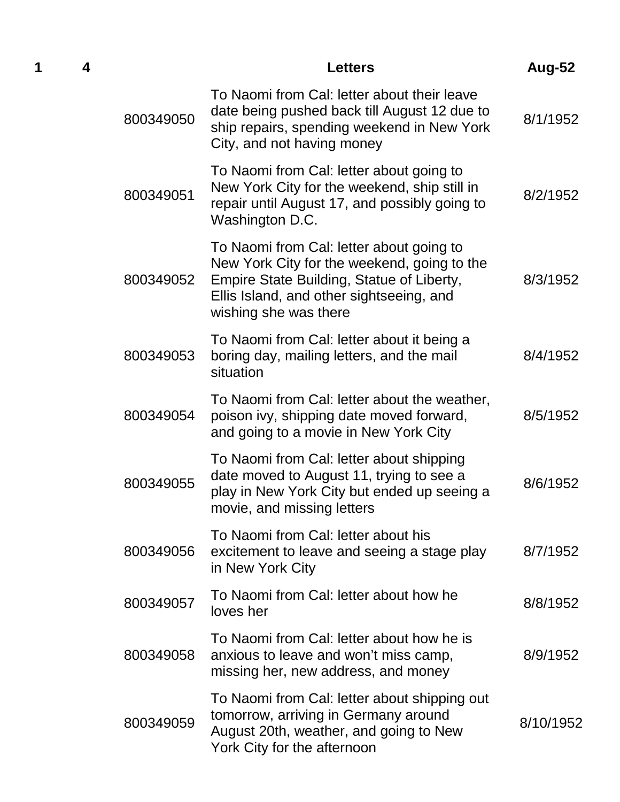|           | <b>Letters</b>                                                                                                                                                                                            | Aug-52    |
|-----------|-----------------------------------------------------------------------------------------------------------------------------------------------------------------------------------------------------------|-----------|
| 800349050 | To Naomi from Cal: letter about their leave<br>date being pushed back till August 12 due to<br>ship repairs, spending weekend in New York<br>City, and not having money                                   | 8/1/1952  |
| 800349051 | To Naomi from Cal: letter about going to<br>New York City for the weekend, ship still in<br>repair until August 17, and possibly going to<br>Washington D.C.                                              | 8/2/1952  |
| 800349052 | To Naomi from Cal: letter about going to<br>New York City for the weekend, going to the<br>Empire State Building, Statue of Liberty,<br>Ellis Island, and other sightseeing, and<br>wishing she was there | 8/3/1952  |
| 800349053 | To Naomi from Cal: letter about it being a<br>boring day, mailing letters, and the mail<br>situation                                                                                                      | 8/4/1952  |
| 800349054 | To Naomi from Cal: letter about the weather,<br>poison ivy, shipping date moved forward,<br>and going to a movie in New York City                                                                         | 8/5/1952  |
| 800349055 | To Naomi from Cal: letter about shipping<br>date moved to August 11, trying to see a<br>play in New York City but ended up seeing a<br>movie, and missing letters                                         | 8/6/1952  |
| 800349056 | To Naomi from Cal: letter about his<br>excitement to leave and seeing a stage play<br>in New York City                                                                                                    | 8/7/1952  |
| 800349057 | To Naomi from Cal: letter about how he<br>loves her                                                                                                                                                       | 8/8/1952  |
| 800349058 | To Naomi from Cal: letter about how he is<br>anxious to leave and won't miss camp,<br>missing her, new address, and money                                                                                 | 8/9/1952  |
| 800349059 | To Naomi from Cal: letter about shipping out<br>tomorrow, arriving in Germany around<br>August 20th, weather, and going to New<br>York City for the afternoon                                             | 8/10/1952 |

**1 4 Letters Aug-52**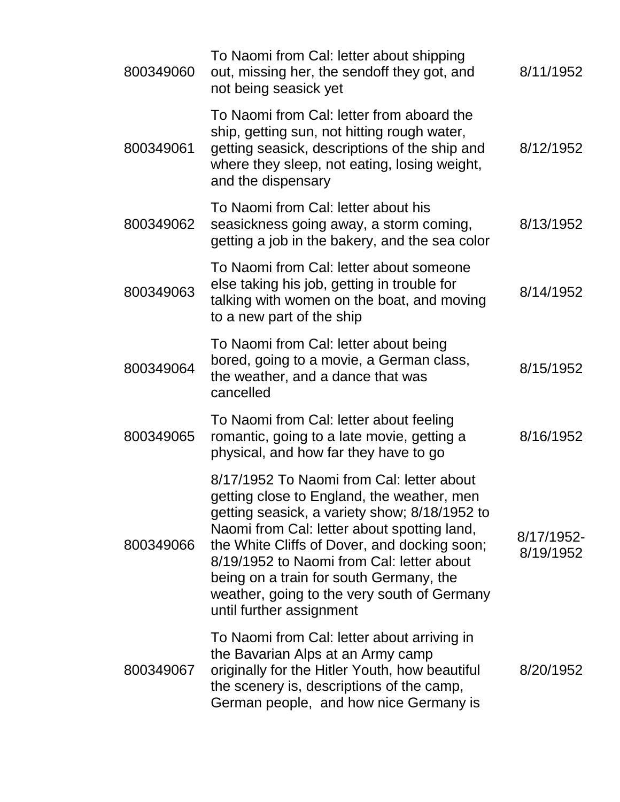| 800349060 | To Naomi from Cal: letter about shipping<br>out, missing her, the sendoff they got, and<br>not being seasick yet                                                                                                                                                                                                                                                                                           | 8/11/1952               |
|-----------|------------------------------------------------------------------------------------------------------------------------------------------------------------------------------------------------------------------------------------------------------------------------------------------------------------------------------------------------------------------------------------------------------------|-------------------------|
| 800349061 | To Naomi from Cal: letter from aboard the<br>ship, getting sun, not hitting rough water,<br>getting seasick, descriptions of the ship and<br>where they sleep, not eating, losing weight,<br>and the dispensary                                                                                                                                                                                            | 8/12/1952               |
| 800349062 | To Naomi from Cal: letter about his<br>seasickness going away, a storm coming,<br>getting a job in the bakery, and the sea color                                                                                                                                                                                                                                                                           | 8/13/1952               |
| 800349063 | To Naomi from Cal: letter about someone<br>else taking his job, getting in trouble for<br>talking with women on the boat, and moving<br>to a new part of the ship                                                                                                                                                                                                                                          | 8/14/1952               |
| 800349064 | To Naomi from Cal: letter about being<br>bored, going to a movie, a German class,<br>the weather, and a dance that was<br>cancelled                                                                                                                                                                                                                                                                        | 8/15/1952               |
| 800349065 | To Naomi from Cal: letter about feeling<br>romantic, going to a late movie, getting a<br>physical, and how far they have to go                                                                                                                                                                                                                                                                             | 8/16/1952               |
| 800349066 | 8/17/1952 To Naomi from Cal: letter about<br>getting close to England, the weather, men<br>getting seasick, a variety show; 8/18/1952 to<br>Naomi from Cal: letter about spotting land,<br>the White Cliffs of Dover, and docking soon;<br>8/19/1952 to Naomi from Cal: letter about<br>being on a train for south Germany, the<br>weather, going to the very south of Germany<br>until further assignment | 8/17/1952-<br>8/19/1952 |
| 800349067 | To Naomi from Cal: letter about arriving in<br>the Bavarian Alps at an Army camp<br>originally for the Hitler Youth, how beautiful<br>the scenery is, descriptions of the camp,<br>German people, and how nice Germany is                                                                                                                                                                                  | 8/20/1952               |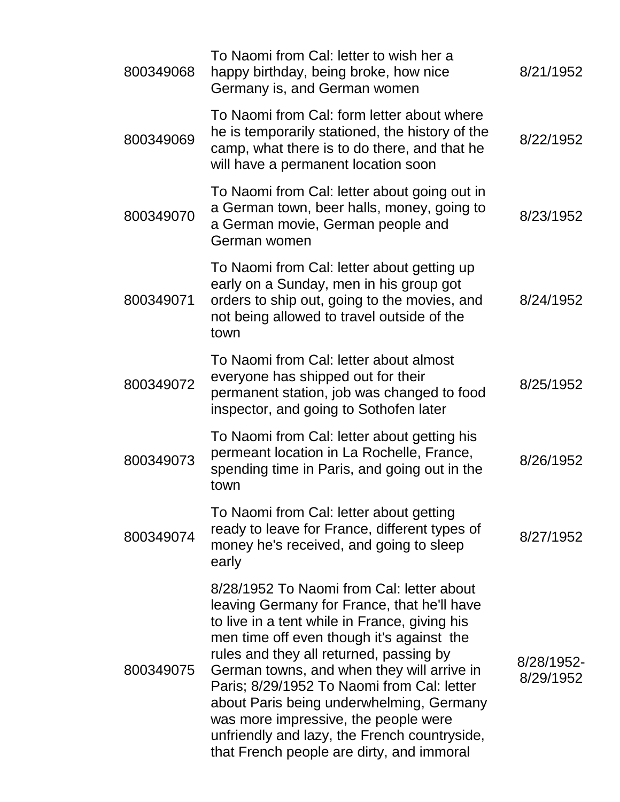| 800349068 | To Naomi from Cal: letter to wish her a<br>happy birthday, being broke, how nice<br>Germany is, and German women                                                                                                                                                                                                                                                                                                                                                                                               | 8/21/1952               |
|-----------|----------------------------------------------------------------------------------------------------------------------------------------------------------------------------------------------------------------------------------------------------------------------------------------------------------------------------------------------------------------------------------------------------------------------------------------------------------------------------------------------------------------|-------------------------|
| 800349069 | To Naomi from Cal: form letter about where<br>he is temporarily stationed, the history of the<br>camp, what there is to do there, and that he<br>will have a permanent location soon                                                                                                                                                                                                                                                                                                                           | 8/22/1952               |
| 800349070 | To Naomi from Cal: letter about going out in<br>a German town, beer halls, money, going to<br>a German movie, German people and<br>German women                                                                                                                                                                                                                                                                                                                                                                | 8/23/1952               |
| 800349071 | To Naomi from Cal: letter about getting up<br>early on a Sunday, men in his group got<br>orders to ship out, going to the movies, and<br>not being allowed to travel outside of the<br>town                                                                                                                                                                                                                                                                                                                    | 8/24/1952               |
| 800349072 | To Naomi from Cal: letter about almost<br>everyone has shipped out for their<br>permanent station, job was changed to food<br>inspector, and going to Sothofen later                                                                                                                                                                                                                                                                                                                                           | 8/25/1952               |
| 800349073 | To Naomi from Cal: letter about getting his<br>permeant location in La Rochelle, France,<br>spending time in Paris, and going out in the<br>town                                                                                                                                                                                                                                                                                                                                                               | 8/26/1952               |
| 800349074 | To Naomi from Cal: letter about getting<br>ready to leave for France, different types of<br>money he's received, and going to sleep<br>early                                                                                                                                                                                                                                                                                                                                                                   | 8/27/1952               |
| 800349075 | 8/28/1952 To Naomi from Cal: letter about<br>leaving Germany for France, that he'll have<br>to live in a tent while in France, giving his<br>men time off even though it's against the<br>rules and they all returned, passing by<br>German towns, and when they will arrive in<br>Paris; 8/29/1952 To Naomi from Cal: letter<br>about Paris being underwhelming, Germany<br>was more impressive, the people were<br>unfriendly and lazy, the French countryside,<br>that French people are dirty, and immoral | 8/28/1952-<br>8/29/1952 |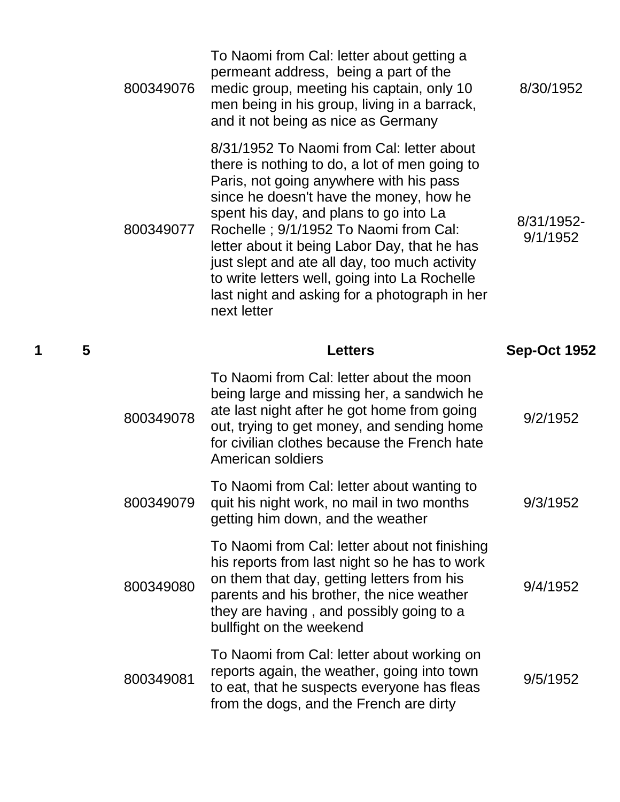|   |   | 800349076 | To Naomi from Cal: letter about getting a<br>permeant address, being a part of the<br>medic group, meeting his captain, only 10<br>men being in his group, living in a barrack,<br>and it not being as nice as Germany                                                                                                                                                                                                                                                                | 8/30/1952              |
|---|---|-----------|---------------------------------------------------------------------------------------------------------------------------------------------------------------------------------------------------------------------------------------------------------------------------------------------------------------------------------------------------------------------------------------------------------------------------------------------------------------------------------------|------------------------|
|   |   | 800349077 | 8/31/1952 To Naomi from Cal: letter about<br>there is nothing to do, a lot of men going to<br>Paris, not going anywhere with his pass<br>since he doesn't have the money, how he<br>spent his day, and plans to go into La<br>Rochelle; 9/1/1952 To Naomi from Cal:<br>letter about it being Labor Day, that he has<br>just slept and ate all day, too much activity<br>to write letters well, going into La Rochelle<br>last night and asking for a photograph in her<br>next letter | 8/31/1952-<br>9/1/1952 |
| 1 | 5 |           | <b>Letters</b>                                                                                                                                                                                                                                                                                                                                                                                                                                                                        | <b>Sep-Oct 1952</b>    |
|   |   | 800349078 | To Naomi from Cal: letter about the moon<br>being large and missing her, a sandwich he<br>ate last night after he got home from going<br>out, trying to get money, and sending home<br>for civilian clothes because the French hate<br>American soldiers                                                                                                                                                                                                                              | 9/2/1952               |
|   |   | 800349079 | To Naomi from Cal: letter about wanting to<br>quit his night work, no mail in two months<br>getting him down, and the weather                                                                                                                                                                                                                                                                                                                                                         | 9/3/1952               |
|   |   | 800349080 | To Naomi from Cal: letter about not finishing<br>his reports from last night so he has to work<br>on them that day, getting letters from his<br>parents and his brother, the nice weather<br>they are having, and possibly going to a<br>bullfight on the weekend                                                                                                                                                                                                                     | 9/4/1952               |
|   |   |           | To Naomi from Cal: letter about working on                                                                                                                                                                                                                                                                                                                                                                                                                                            |                        |
|   |   | 800349081 | reports again, the weather, going into town<br>to eat, that he suspects everyone has fleas<br>from the dogs, and the French are dirty                                                                                                                                                                                                                                                                                                                                                 | 9/5/1952               |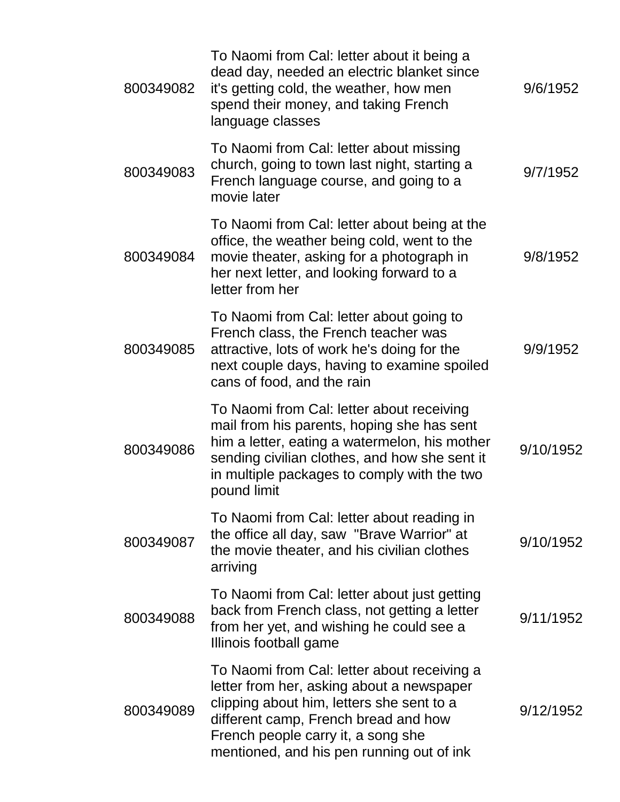| 800349082 | To Naomi from Cal: letter about it being a<br>dead day, needed an electric blanket since<br>it's getting cold, the weather, how men<br>spend their money, and taking French<br>language classes                                                                  | 9/6/1952  |
|-----------|------------------------------------------------------------------------------------------------------------------------------------------------------------------------------------------------------------------------------------------------------------------|-----------|
| 800349083 | To Naomi from Cal: letter about missing<br>church, going to town last night, starting a<br>French language course, and going to a<br>movie later                                                                                                                 | 9/7/1952  |
| 800349084 | To Naomi from Cal: letter about being at the<br>office, the weather being cold, went to the<br>movie theater, asking for a photograph in<br>her next letter, and looking forward to a<br>letter from her                                                         | 9/8/1952  |
| 800349085 | To Naomi from Cal: letter about going to<br>French class, the French teacher was<br>attractive, lots of work he's doing for the<br>next couple days, having to examine spoiled<br>cans of food, and the rain                                                     | 9/9/1952  |
| 800349086 | To Naomi from Cal: letter about receiving<br>mail from his parents, hoping she has sent<br>him a letter, eating a watermelon, his mother<br>sending civilian clothes, and how she sent it<br>in multiple packages to comply with the two<br>pound limit          | 9/10/1952 |
| 800349087 | To Naomi from Cal: letter about reading in<br>the office all day, saw "Brave Warrior" at<br>the movie theater, and his civilian clothes<br>arriving                                                                                                              | 9/10/1952 |
| 800349088 | To Naomi from Cal: letter about just getting<br>back from French class, not getting a letter<br>from her yet, and wishing he could see a<br>Illinois football game                                                                                               | 9/11/1952 |
| 800349089 | To Naomi from Cal: letter about receiving a<br>letter from her, asking about a newspaper<br>clipping about him, letters she sent to a<br>different camp, French bread and how<br>French people carry it, a song she<br>mentioned, and his pen running out of ink | 9/12/1952 |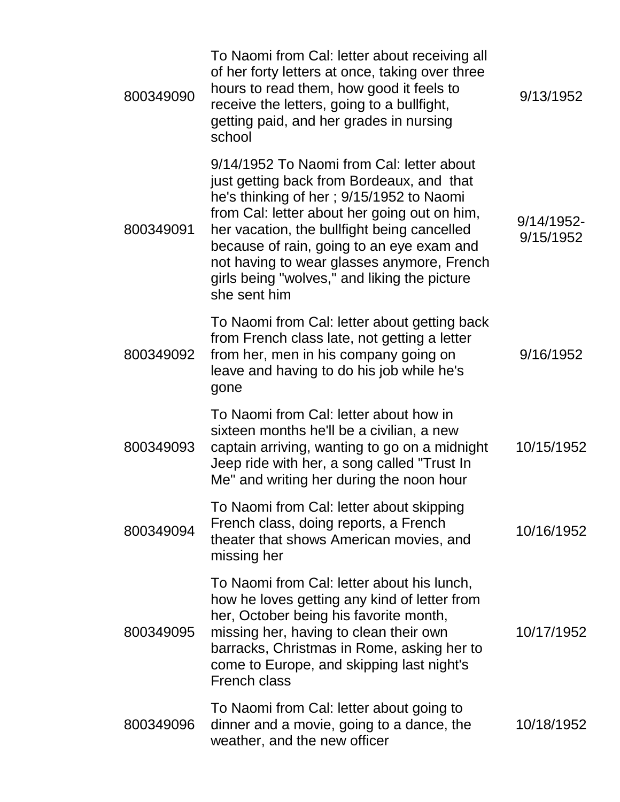| 800349090 | To Naomi from Cal: letter about receiving all<br>of her forty letters at once, taking over three<br>hours to read them, how good it feels to<br>receive the letters, going to a bullfight,<br>getting paid, and her grades in nursing<br>school                                                                                                                                              | 9/13/1952               |
|-----------|----------------------------------------------------------------------------------------------------------------------------------------------------------------------------------------------------------------------------------------------------------------------------------------------------------------------------------------------------------------------------------------------|-------------------------|
| 800349091 | 9/14/1952 To Naomi from Cal: letter about<br>just getting back from Bordeaux, and that<br>he's thinking of her; 9/15/1952 to Naomi<br>from Cal: letter about her going out on him,<br>her vacation, the bullfight being cancelled<br>because of rain, going to an eye exam and<br>not having to wear glasses anymore, French<br>girls being "wolves," and liking the picture<br>she sent him | 9/14/1952-<br>9/15/1952 |
| 800349092 | To Naomi from Cal: letter about getting back<br>from French class late, not getting a letter<br>from her, men in his company going on<br>leave and having to do his job while he's<br>gone                                                                                                                                                                                                   | 9/16/1952               |
| 800349093 | To Naomi from Cal: letter about how in<br>sixteen months he'll be a civilian, a new<br>captain arriving, wanting to go on a midnight<br>Jeep ride with her, a song called "Trust In<br>Me" and writing her during the noon hour                                                                                                                                                              | 10/15/1952              |
| 800349094 | To Naomi from Cal: letter about skipping<br>French class, doing reports, a French<br>theater that shows American movies, and<br>missing her                                                                                                                                                                                                                                                  | 10/16/1952              |
| 800349095 | To Naomi from Cal: letter about his lunch,<br>how he loves getting any kind of letter from<br>her, October being his favorite month,<br>missing her, having to clean their own<br>barracks, Christmas in Rome, asking her to<br>come to Europe, and skipping last night's<br><b>French class</b>                                                                                             | 10/17/1952              |
| 800349096 | To Naomi from Cal: letter about going to<br>dinner and a movie, going to a dance, the<br>weather, and the new officer                                                                                                                                                                                                                                                                        | 10/18/1952              |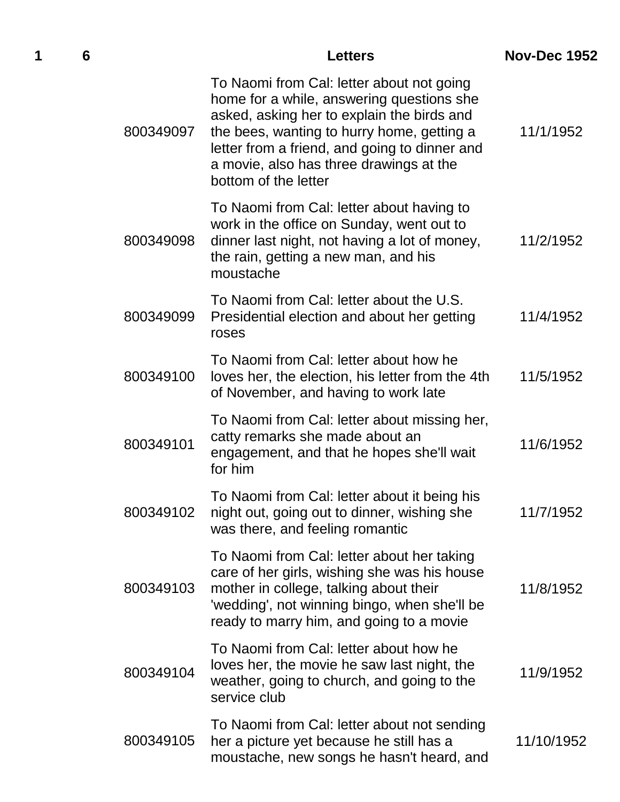| 1 | 6 |           | <b>Letters</b>                                                                                                                                                                                                                                                                                         | <b>Nov-Dec 1952</b> |
|---|---|-----------|--------------------------------------------------------------------------------------------------------------------------------------------------------------------------------------------------------------------------------------------------------------------------------------------------------|---------------------|
|   |   | 800349097 | To Naomi from Cal: letter about not going<br>home for a while, answering questions she<br>asked, asking her to explain the birds and<br>the bees, wanting to hurry home, getting a<br>letter from a friend, and going to dinner and<br>a movie, also has three drawings at the<br>bottom of the letter | 11/1/1952           |
|   |   | 800349098 | To Naomi from Cal: letter about having to<br>work in the office on Sunday, went out to<br>dinner last night, not having a lot of money,<br>the rain, getting a new man, and his<br>moustache                                                                                                           | 11/2/1952           |
|   |   | 800349099 | To Naomi from Cal: letter about the U.S.<br>Presidential election and about her getting<br>roses                                                                                                                                                                                                       | 11/4/1952           |
|   |   | 800349100 | To Naomi from Cal: letter about how he<br>loves her, the election, his letter from the 4th<br>of November, and having to work late                                                                                                                                                                     | 11/5/1952           |
|   |   | 800349101 | To Naomi from Cal: letter about missing her,<br>catty remarks she made about an<br>engagement, and that he hopes she'll wait<br>for him                                                                                                                                                                | 11/6/1952           |
|   |   | 800349102 | To Naomi from Cal: letter about it being his<br>night out, going out to dinner, wishing she<br>was there, and feeling romantic                                                                                                                                                                         | 11/7/1952           |
|   |   | 800349103 | To Naomi from Cal: letter about her taking<br>care of her girls, wishing she was his house<br>mother in college, talking about their<br>'wedding', not winning bingo, when she'll be<br>ready to marry him, and going to a movie                                                                       | 11/8/1952           |
|   |   | 800349104 | To Naomi from Cal: letter about how he<br>loves her, the movie he saw last night, the<br>weather, going to church, and going to the<br>service club                                                                                                                                                    | 11/9/1952           |
|   |   | 800349105 | To Naomi from Cal: letter about not sending<br>her a picture yet because he still has a<br>moustache, new songs he hasn't heard, and                                                                                                                                                                   | 11/10/1952          |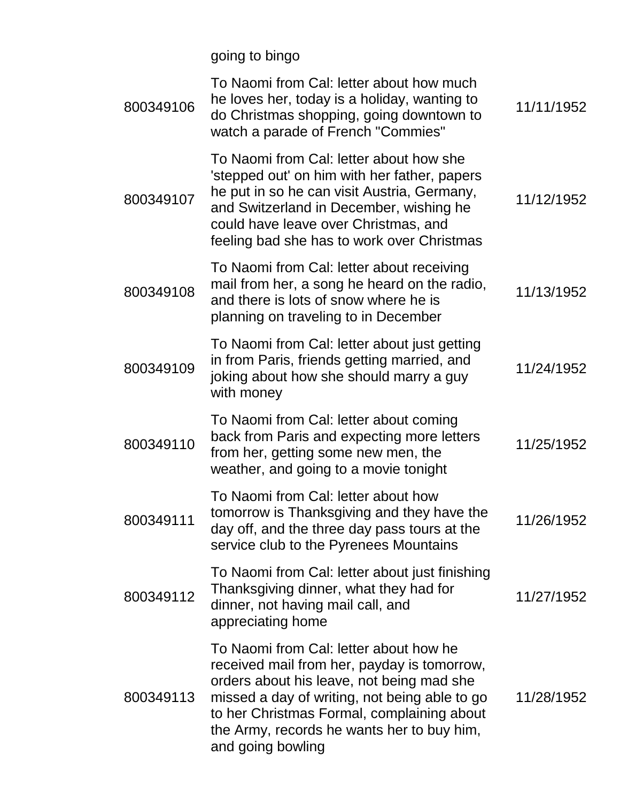going to bingo

| 800349106 | To Naomi from Cal: letter about how much<br>he loves her, today is a holiday, wanting to<br>do Christmas shopping, going downtown to<br>watch a parade of French "Commies"                                                                                                                           | 11/11/1952 |
|-----------|------------------------------------------------------------------------------------------------------------------------------------------------------------------------------------------------------------------------------------------------------------------------------------------------------|------------|
| 800349107 | To Naomi from Cal: letter about how she<br>'stepped out' on him with her father, papers<br>he put in so he can visit Austria, Germany,<br>and Switzerland in December, wishing he<br>could have leave over Christmas, and<br>feeling bad she has to work over Christmas                              | 11/12/1952 |
| 800349108 | To Naomi from Cal: letter about receiving<br>mail from her, a song he heard on the radio,<br>and there is lots of snow where he is<br>planning on traveling to in December                                                                                                                           | 11/13/1952 |
| 800349109 | To Naomi from Cal: letter about just getting<br>in from Paris, friends getting married, and<br>joking about how she should marry a guy<br>with money                                                                                                                                                 | 11/24/1952 |
| 800349110 | To Naomi from Cal: letter about coming<br>back from Paris and expecting more letters<br>from her, getting some new men, the<br>weather, and going to a movie tonight                                                                                                                                 | 11/25/1952 |
| 800349111 | To Naomi from Cal: letter about how<br>tomorrow is Thanksgiving and they have the<br>day off, and the three day pass tours at the<br>service club to the Pyrenees Mountains                                                                                                                          | 11/26/1952 |
| 800349112 | To Naomi from Cal: letter about just finishing<br>Thanksgiving dinner, what they had for<br>dinner, not having mail call, and<br>appreciating home                                                                                                                                                   | 11/27/1952 |
| 800349113 | To Naomi from Cal: letter about how he<br>received mail from her, payday is tomorrow,<br>orders about his leave, not being mad she<br>missed a day of writing, not being able to go<br>to her Christmas Formal, complaining about<br>the Army, records he wants her to buy him,<br>and going bowling | 11/28/1952 |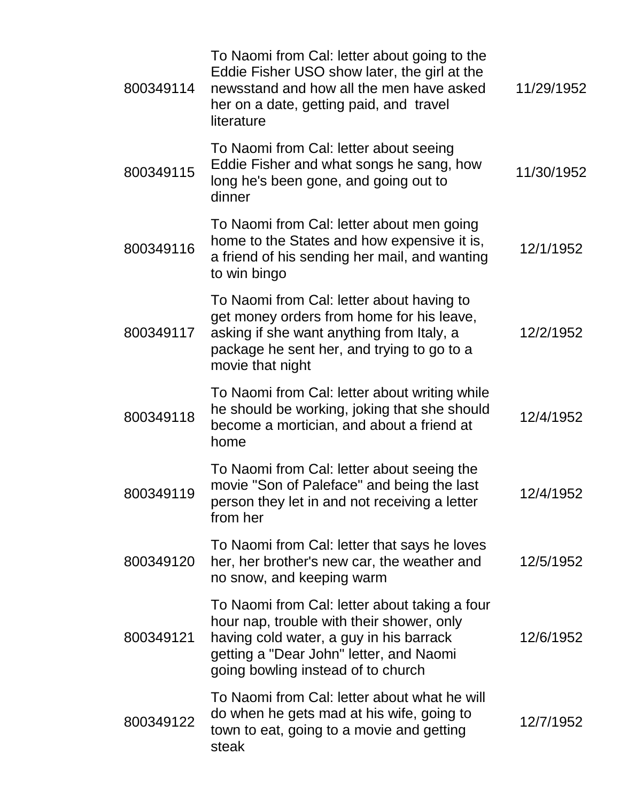| 800349114 | To Naomi from Cal: letter about going to the<br>Eddie Fisher USO show later, the girl at the<br>newsstand and how all the men have asked<br>her on a date, getting paid, and travel<br>literature                      | 11/29/1952 |
|-----------|------------------------------------------------------------------------------------------------------------------------------------------------------------------------------------------------------------------------|------------|
| 800349115 | To Naomi from Cal: letter about seeing<br>Eddie Fisher and what songs he sang, how<br>long he's been gone, and going out to<br>dinner                                                                                  | 11/30/1952 |
| 800349116 | To Naomi from Cal: letter about men going<br>home to the States and how expensive it is,<br>a friend of his sending her mail, and wanting<br>to win bingo                                                              | 12/1/1952  |
| 800349117 | To Naomi from Cal: letter about having to<br>get money orders from home for his leave,<br>asking if she want anything from Italy, a<br>package he sent her, and trying to go to a<br>movie that night                  | 12/2/1952  |
| 800349118 | To Naomi from Cal: letter about writing while<br>he should be working, joking that she should<br>become a mortician, and about a friend at<br>home                                                                     | 12/4/1952  |
| 800349119 | To Naomi from Cal: letter about seeing the<br>movie "Son of Paleface" and being the last<br>person they let in and not receiving a letter<br>from her                                                                  | 12/4/1952  |
| 800349120 | To Naomi from Cal: letter that says he loves<br>her, her brother's new car, the weather and<br>no snow, and keeping warm                                                                                               | 12/5/1952  |
| 800349121 | To Naomi from Cal: letter about taking a four<br>hour nap, trouble with their shower, only<br>having cold water, a guy in his barrack<br>getting a "Dear John" letter, and Naomi<br>going bowling instead of to church | 12/6/1952  |
| 800349122 | To Naomi from Cal: letter about what he will<br>do when he gets mad at his wife, going to<br>town to eat, going to a movie and getting<br>steak                                                                        | 12/7/1952  |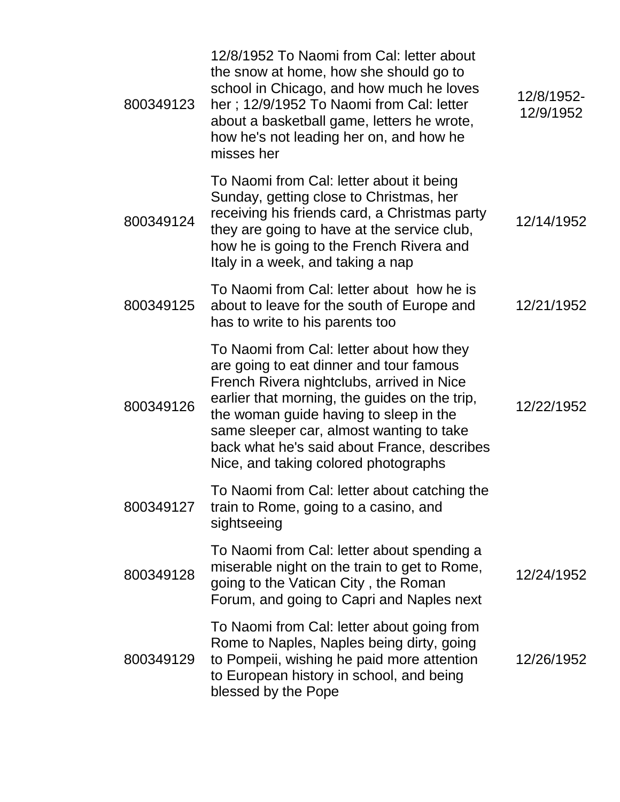| 800349123 | 12/8/1952 To Naomi from Cal: letter about<br>the snow at home, how she should go to<br>school in Chicago, and how much he loves<br>her; 12/9/1952 To Naomi from Cal: letter<br>about a basketball game, letters he wrote,<br>how he's not leading her on, and how he<br>misses her                                                                             | 12/8/1952-<br>12/9/1952 |
|-----------|----------------------------------------------------------------------------------------------------------------------------------------------------------------------------------------------------------------------------------------------------------------------------------------------------------------------------------------------------------------|-------------------------|
| 800349124 | To Naomi from Cal: letter about it being<br>Sunday, getting close to Christmas, her<br>receiving his friends card, a Christmas party<br>they are going to have at the service club,<br>how he is going to the French Rivera and<br>Italy in a week, and taking a nap                                                                                           | 12/14/1952              |
| 800349125 | To Naomi from Cal: letter about how he is<br>about to leave for the south of Europe and<br>has to write to his parents too                                                                                                                                                                                                                                     | 12/21/1952              |
| 800349126 | To Naomi from Cal: letter about how they<br>are going to eat dinner and tour famous<br>French Rivera nightclubs, arrived in Nice<br>earlier that morning, the guides on the trip,<br>the woman guide having to sleep in the<br>same sleeper car, almost wanting to take<br>back what he's said about France, describes<br>Nice, and taking colored photographs | 12/22/1952              |
| 800349127 | To Naomi from Cal: letter about catching the<br>train to Rome, going to a casino, and<br>sightseeing                                                                                                                                                                                                                                                           |                         |
| 800349128 | To Naomi from Cal: letter about spending a<br>miserable night on the train to get to Rome,<br>going to the Vatican City, the Roman<br>Forum, and going to Capri and Naples next                                                                                                                                                                                | 12/24/1952              |
| 800349129 | To Naomi from Cal: letter about going from<br>Rome to Naples, Naples being dirty, going<br>to Pompeii, wishing he paid more attention<br>to European history in school, and being<br>blessed by the Pope                                                                                                                                                       | 12/26/1952              |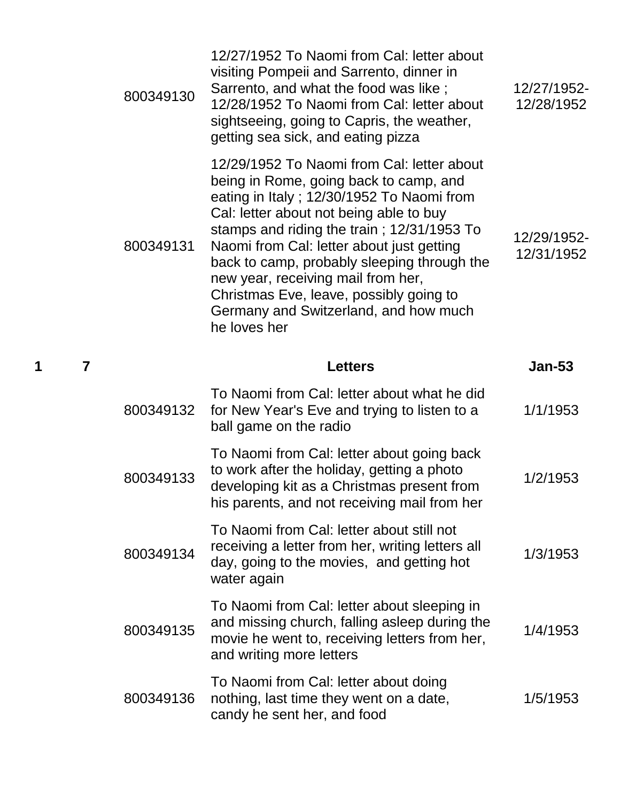| 800349130 | 12/27/1952 To Naomi from Cal: letter about<br>visiting Pompeii and Sarrento, dinner in<br>Sarrento, and what the food was like;<br>12/28/1952 To Naomi from Cal: letter about<br>sightseeing, going to Capris, the weather,<br>getting sea sick, and eating pizza                                                                                                                                                                                                | 12/27/1952-<br>12/28/1952 |
|-----------|------------------------------------------------------------------------------------------------------------------------------------------------------------------------------------------------------------------------------------------------------------------------------------------------------------------------------------------------------------------------------------------------------------------------------------------------------------------|---------------------------|
| 800349131 | 12/29/1952 To Naomi from Cal: letter about<br>being in Rome, going back to camp, and<br>eating in Italy; 12/30/1952 To Naomi from<br>Cal: letter about not being able to buy<br>stamps and riding the train; 12/31/1953 To<br>Naomi from Cal: letter about just getting<br>back to camp, probably sleeping through the<br>new year, receiving mail from her,<br>Christmas Eve, leave, possibly going to<br>Germany and Switzerland, and how much<br>he loves her | 12/29/1952-<br>12/31/1952 |
|           | <b>Letters</b>                                                                                                                                                                                                                                                                                                                                                                                                                                                   | <b>Jan-53</b>             |
| 800349132 | To Naomi from Cal: letter about what he did<br>for New Year's Eve and trying to listen to a<br>ball game on the radio                                                                                                                                                                                                                                                                                                                                            | 1/1/1953                  |
| 800349133 | To Naomi from Cal: letter about going back<br>to work after the holiday, getting a photo<br>developing kit as a Christmas present from<br>his parents, and not receiving mail from her                                                                                                                                                                                                                                                                           | 1/2/1953                  |
| 800349134 | To Naomi from Cal: letter about still not<br>receiving a letter from her, writing letters all<br>day, going to the movies, and getting hot<br>water again                                                                                                                                                                                                                                                                                                        | 1/3/1953                  |
|           |                                                                                                                                                                                                                                                                                                                                                                                                                                                                  |                           |
| 800349135 | To Naomi from Cal: letter about sleeping in<br>and missing church, falling asleep during the<br>movie he went to, receiving letters from her,<br>and writing more letters                                                                                                                                                                                                                                                                                        | 1/4/1953                  |

**1 7 Letters Jan-53**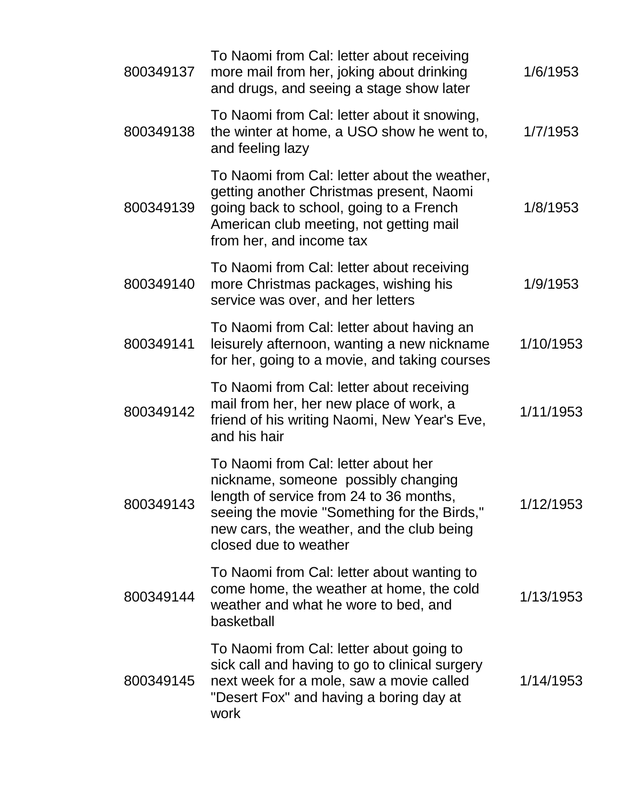| 800349137 | To Naomi from Cal: letter about receiving<br>more mail from her, joking about drinking<br>and drugs, and seeing a stage show later                                                                                                         | 1/6/1953  |
|-----------|--------------------------------------------------------------------------------------------------------------------------------------------------------------------------------------------------------------------------------------------|-----------|
| 800349138 | To Naomi from Cal: letter about it snowing,<br>the winter at home, a USO show he went to,<br>and feeling lazy                                                                                                                              | 1/7/1953  |
| 800349139 | To Naomi from Cal: letter about the weather,<br>getting another Christmas present, Naomi<br>going back to school, going to a French<br>American club meeting, not getting mail<br>from her, and income tax                                 | 1/8/1953  |
| 800349140 | To Naomi from Cal: letter about receiving<br>more Christmas packages, wishing his<br>service was over, and her letters                                                                                                                     | 1/9/1953  |
| 800349141 | To Naomi from Cal: letter about having an<br>leisurely afternoon, wanting a new nickname<br>for her, going to a movie, and taking courses                                                                                                  | 1/10/1953 |
| 800349142 | To Naomi from Cal: letter about receiving<br>mail from her, her new place of work, a<br>friend of his writing Naomi, New Year's Eve,<br>and his hair                                                                                       | 1/11/1953 |
| 800349143 | To Naomi from Cal: letter about her<br>nickname, someone possibly changing<br>length of service from 24 to 36 months,<br>seeing the movie "Something for the Birds,"<br>new cars, the weather, and the club being<br>closed due to weather | 1/12/1953 |
| 800349144 | To Naomi from Cal: letter about wanting to<br>come home, the weather at home, the cold<br>weather and what he wore to bed, and<br>basketball                                                                                               | 1/13/1953 |
| 800349145 | To Naomi from Cal: letter about going to<br>sick call and having to go to clinical surgery<br>next week for a mole, saw a movie called<br>"Desert Fox" and having a boring day at<br>work                                                  | 1/14/1953 |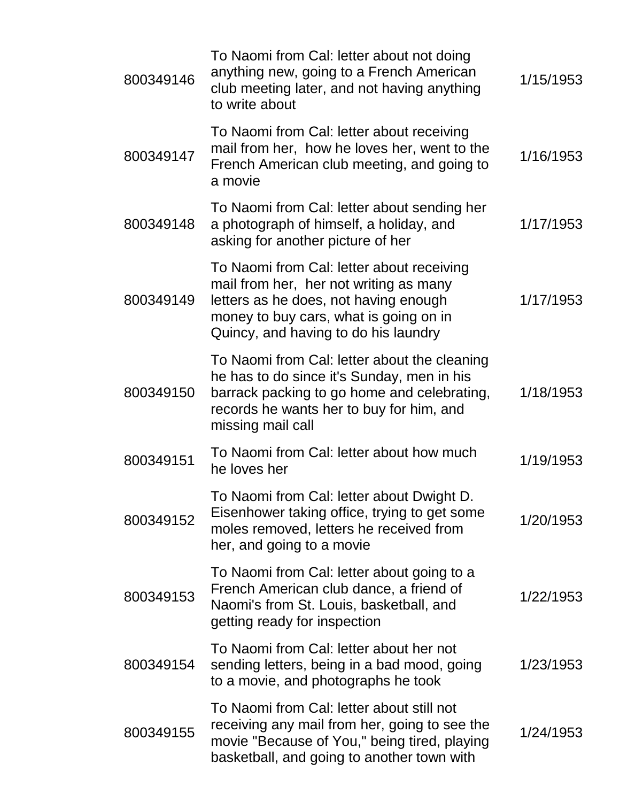| 800349146 | To Naomi from Cal: letter about not doing<br>anything new, going to a French American<br>club meeting later, and not having anything<br>to write about                                                         | 1/15/1953 |
|-----------|----------------------------------------------------------------------------------------------------------------------------------------------------------------------------------------------------------------|-----------|
| 800349147 | To Naomi from Cal: letter about receiving<br>mail from her, how he loves her, went to the<br>French American club meeting, and going to<br>a movie                                                             | 1/16/1953 |
| 800349148 | To Naomi from Cal: letter about sending her<br>a photograph of himself, a holiday, and<br>asking for another picture of her                                                                                    | 1/17/1953 |
| 800349149 | To Naomi from Cal: letter about receiving<br>mail from her, her not writing as many<br>letters as he does, not having enough<br>money to buy cars, what is going on in<br>Quincy, and having to do his laundry | 1/17/1953 |
| 800349150 | To Naomi from Cal: letter about the cleaning<br>he has to do since it's Sunday, men in his<br>barrack packing to go home and celebrating,<br>records he wants her to buy for him, and<br>missing mail call     | 1/18/1953 |
| 800349151 | To Naomi from Cal: letter about how much<br>he loves her                                                                                                                                                       | 1/19/1953 |
| 800349152 | To Naomi from Cal: letter about Dwight D.<br>Eisenhower taking office, trying to get some<br>moles removed, letters he received from<br>her, and going to a movie                                              | 1/20/1953 |
| 800349153 | To Naomi from Cal: letter about going to a<br>French American club dance, a friend of<br>Naomi's from St. Louis, basketball, and<br>getting ready for inspection                                               | 1/22/1953 |
| 800349154 | To Naomi from Cal: letter about her not<br>sending letters, being in a bad mood, going<br>to a movie, and photographs he took                                                                                  | 1/23/1953 |
| 800349155 | To Naomi from Cal: letter about still not<br>receiving any mail from her, going to see the<br>movie "Because of You," being tired, playing<br>basketball, and going to another town with                       | 1/24/1953 |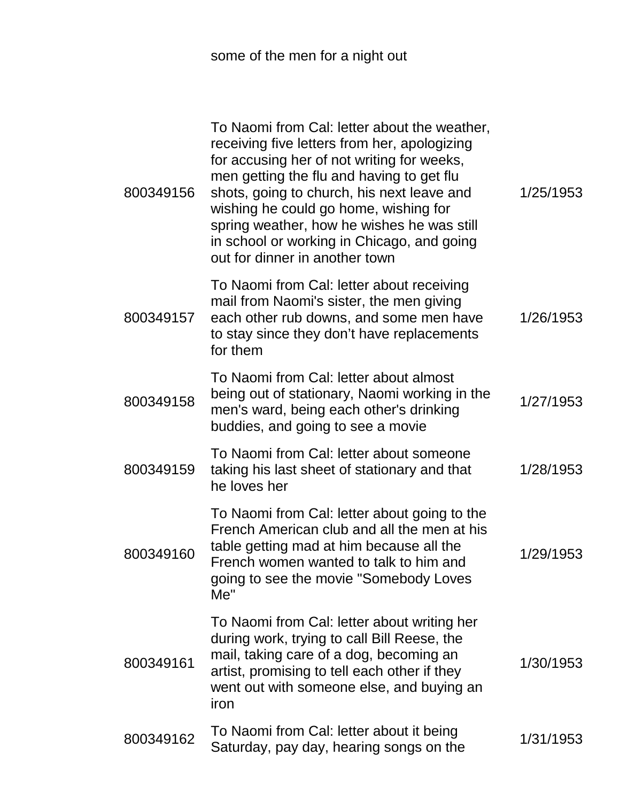some of the men for a night out

| 800349156 | To Naomi from Cal: letter about the weather,<br>receiving five letters from her, apologizing<br>for accusing her of not writing for weeks,<br>men getting the flu and having to get flu<br>shots, going to church, his next leave and<br>wishing he could go home, wishing for<br>spring weather, how he wishes he was still<br>in school or working in Chicago, and going<br>out for dinner in another town | 1/25/1953 |
|-----------|--------------------------------------------------------------------------------------------------------------------------------------------------------------------------------------------------------------------------------------------------------------------------------------------------------------------------------------------------------------------------------------------------------------|-----------|
| 800349157 | To Naomi from Cal: letter about receiving<br>mail from Naomi's sister, the men giving<br>each other rub downs, and some men have<br>to stay since they don't have replacements<br>for them                                                                                                                                                                                                                   | 1/26/1953 |
| 800349158 | To Naomi from Cal: letter about almost<br>being out of stationary, Naomi working in the<br>men's ward, being each other's drinking<br>buddies, and going to see a movie                                                                                                                                                                                                                                      | 1/27/1953 |
| 800349159 | To Naomi from Cal: letter about someone<br>taking his last sheet of stationary and that<br>he loves her                                                                                                                                                                                                                                                                                                      | 1/28/1953 |
| 800349160 | To Naomi from Cal: letter about going to the<br>French American club and all the men at his<br>table getting mad at him because all the<br>French women wanted to talk to him and<br>going to see the movie "Somebody Loves<br>Me''                                                                                                                                                                          | 1/29/1953 |
| 800349161 | To Naomi from Cal: letter about writing her<br>during work, trying to call Bill Reese, the<br>mail, taking care of a dog, becoming an<br>artist, promising to tell each other if they<br>went out with someone else, and buying an<br>iron                                                                                                                                                                   | 1/30/1953 |
| 800349162 | To Naomi from Cal: letter about it being<br>Saturday, pay day, hearing songs on the                                                                                                                                                                                                                                                                                                                          | 1/31/1953 |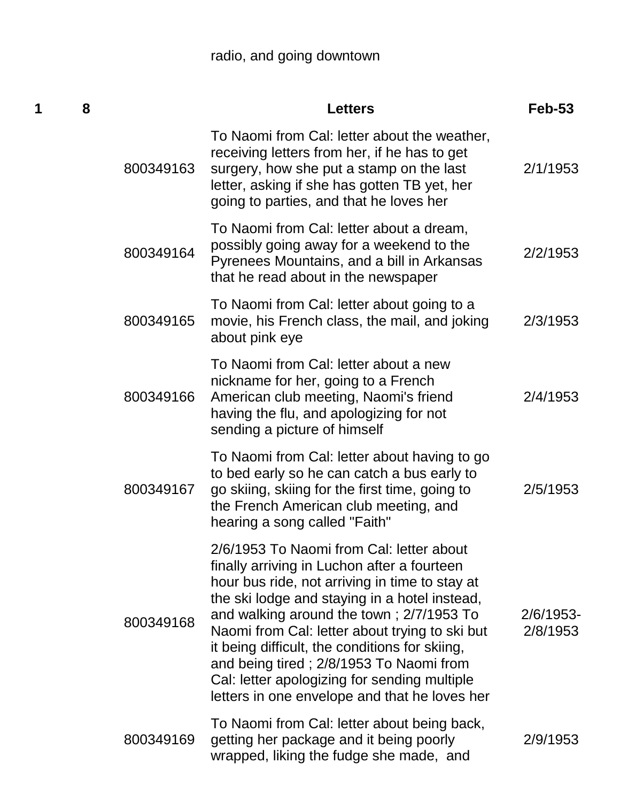## radio, and going downtown

| 1 | 8 |           | <b>Letters</b>                                                                                                                                                                                                                                                                                                                                                                                                                                                                         | $Feb-53$              |
|---|---|-----------|----------------------------------------------------------------------------------------------------------------------------------------------------------------------------------------------------------------------------------------------------------------------------------------------------------------------------------------------------------------------------------------------------------------------------------------------------------------------------------------|-----------------------|
|   |   | 800349163 | To Naomi from Cal: letter about the weather,<br>receiving letters from her, if he has to get<br>surgery, how she put a stamp on the last<br>letter, asking if she has gotten TB yet, her<br>going to parties, and that he loves her                                                                                                                                                                                                                                                    | 2/1/1953              |
|   |   | 800349164 | To Naomi from Cal: letter about a dream,<br>possibly going away for a weekend to the<br>Pyrenees Mountains, and a bill in Arkansas<br>that he read about in the newspaper                                                                                                                                                                                                                                                                                                              | 2/2/1953              |
|   |   | 800349165 | To Naomi from Cal: letter about going to a<br>movie, his French class, the mail, and joking<br>about pink eye                                                                                                                                                                                                                                                                                                                                                                          | 2/3/1953              |
|   |   | 800349166 | To Naomi from Cal: letter about a new<br>nickname for her, going to a French<br>American club meeting, Naomi's friend<br>having the flu, and apologizing for not<br>sending a picture of himself                                                                                                                                                                                                                                                                                       | 2/4/1953              |
|   |   | 800349167 | To Naomi from Cal: letter about having to go<br>to bed early so he can catch a bus early to<br>go skiing, skiing for the first time, going to<br>the French American club meeting, and<br>hearing a song called "Faith"                                                                                                                                                                                                                                                                | 2/5/1953              |
|   |   | 800349168 | 2/6/1953 To Naomi from Cal: letter about<br>finally arriving in Luchon after a fourteen<br>hour bus ride, not arriving in time to stay at<br>the ski lodge and staying in a hotel instead,<br>and walking around the town; 2/7/1953 To<br>Naomi from Cal: letter about trying to ski but<br>it being difficult, the conditions for skiing,<br>and being tired; 2/8/1953 To Naomi from<br>Cal: letter apologizing for sending multiple<br>letters in one envelope and that he loves her | 2/6/1953-<br>2/8/1953 |
|   |   | 800349169 | To Naomi from Cal: letter about being back,<br>getting her package and it being poorly<br>wrapped, liking the fudge she made, and                                                                                                                                                                                                                                                                                                                                                      | 2/9/1953              |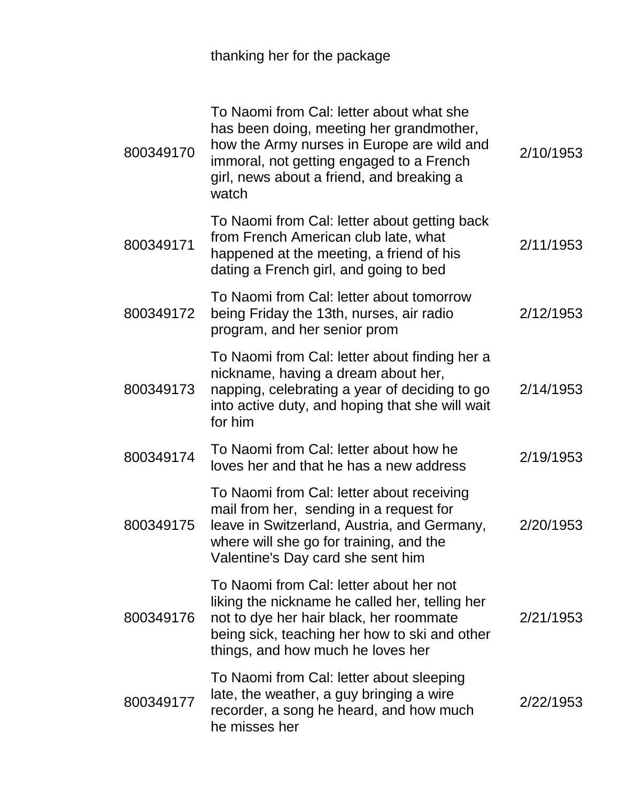thanking her for the package

| 800349170 | To Naomi from Cal: letter about what she<br>has been doing, meeting her grandmother,<br>how the Army nurses in Europe are wild and<br>immoral, not getting engaged to a French<br>girl, news about a friend, and breaking a<br>watch | 2/10/1953 |
|-----------|--------------------------------------------------------------------------------------------------------------------------------------------------------------------------------------------------------------------------------------|-----------|
| 800349171 | To Naomi from Cal: letter about getting back<br>from French American club late, what<br>happened at the meeting, a friend of his<br>dating a French girl, and going to bed                                                           | 2/11/1953 |
| 800349172 | To Naomi from Cal: letter about tomorrow<br>being Friday the 13th, nurses, air radio<br>program, and her senior prom                                                                                                                 | 2/12/1953 |
| 800349173 | To Naomi from Cal: letter about finding her a<br>nickname, having a dream about her,<br>napping, celebrating a year of deciding to go<br>into active duty, and hoping that she will wait<br>for him                                  | 2/14/1953 |
| 800349174 | To Naomi from Cal: letter about how he<br>loves her and that he has a new address                                                                                                                                                    | 2/19/1953 |
| 800349175 | To Naomi from Cal: letter about receiving<br>mail from her, sending in a request for<br>leave in Switzerland, Austria, and Germany,<br>where will she go for training, and the<br>Valentine's Day card she sent him                  | 2/20/1953 |
| 800349176 | To Naomi from Cal: letter about her not<br>liking the nickname he called her, telling her<br>not to dye her hair black, her roommate<br>being sick, teaching her how to ski and other<br>things, and how much he loves her           | 2/21/1953 |
| 800349177 | To Naomi from Cal: letter about sleeping<br>late, the weather, a guy bringing a wire<br>recorder, a song he heard, and how much<br>he misses her                                                                                     | 2/22/1953 |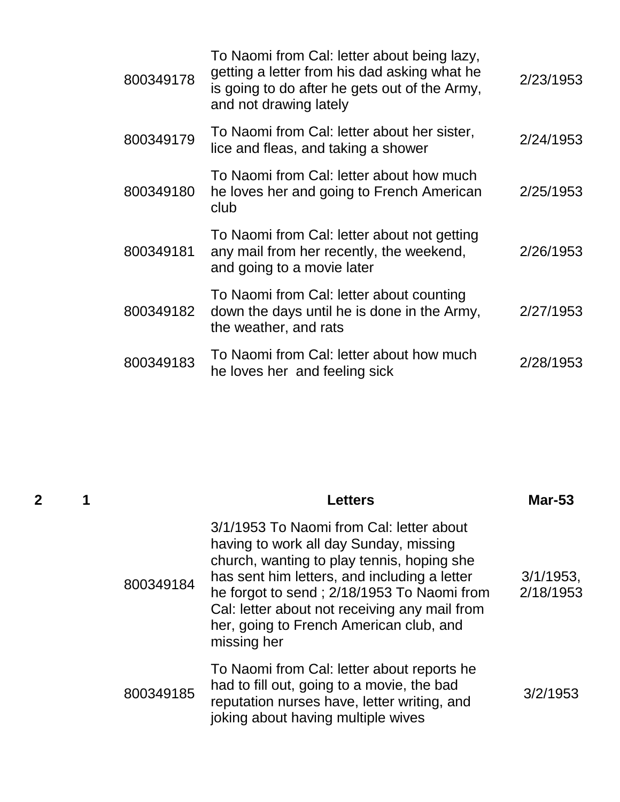| 800349178 | To Naomi from Cal: letter about being lazy,<br>getting a letter from his dad asking what he<br>is going to do after he gets out of the Army,<br>and not drawing lately | 2/23/1953 |
|-----------|------------------------------------------------------------------------------------------------------------------------------------------------------------------------|-----------|
| 800349179 | To Naomi from Cal: letter about her sister,<br>lice and fleas, and taking a shower                                                                                     | 2/24/1953 |
| 800349180 | To Naomi from Cal: letter about how much<br>he loves her and going to French American<br>club                                                                          | 2/25/1953 |
| 800349181 | To Naomi from Cal: letter about not getting<br>any mail from her recently, the weekend,<br>and going to a movie later                                                  | 2/26/1953 |
| 800349182 | To Naomi from Cal: letter about counting<br>down the days until he is done in the Army,<br>the weather, and rats                                                       | 2/27/1953 |
| 800349183 | To Naomi from Cal: letter about how much<br>he loves her and feeling sick                                                                                              | 2/28/1953 |

| 2 |           | <b>Letters</b>                                                                                                                                                                                                                                                                                                                            | <b>Mar-53</b>          |
|---|-----------|-------------------------------------------------------------------------------------------------------------------------------------------------------------------------------------------------------------------------------------------------------------------------------------------------------------------------------------------|------------------------|
|   | 800349184 | 3/1/1953 To Naomi from Cal: letter about<br>having to work all day Sunday, missing<br>church, wanting to play tennis, hoping she<br>has sent him letters, and including a letter<br>he forgot to send; 2/18/1953 To Naomi from<br>Cal: letter about not receiving any mail from<br>her, going to French American club, and<br>missing her | 3/1/1953,<br>2/18/1953 |
|   | 800349185 | To Naomi from Cal: letter about reports he<br>had to fill out, going to a movie, the bad<br>reputation nurses have, letter writing, and<br>joking about having multiple wives                                                                                                                                                             | 3/2/1953               |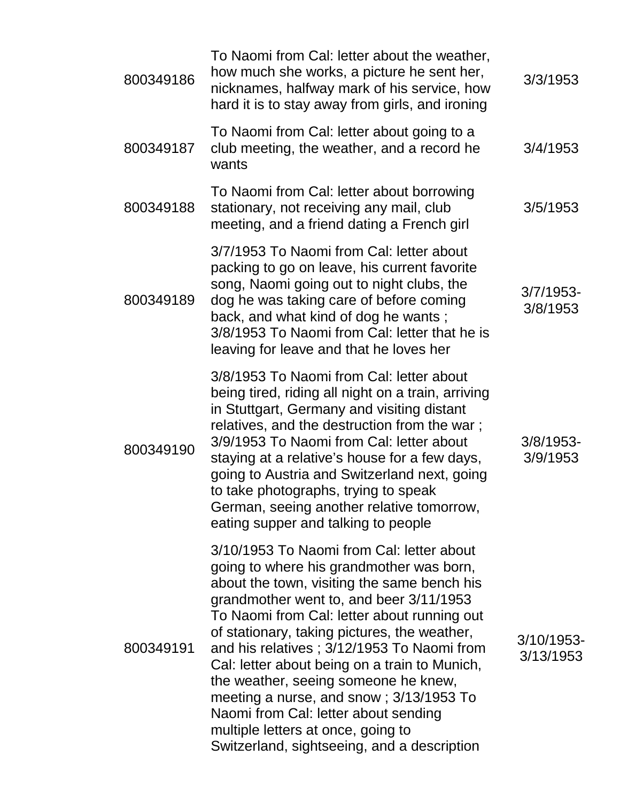| 800349186 | To Naomi from Cal: letter about the weather,<br>how much she works, a picture he sent her,<br>nicknames, halfway mark of his service, how<br>hard it is to stay away from girls, and ironing                                                                                                                                                                                                                                                                                                                                                                                                  | 3/3/1953                 |
|-----------|-----------------------------------------------------------------------------------------------------------------------------------------------------------------------------------------------------------------------------------------------------------------------------------------------------------------------------------------------------------------------------------------------------------------------------------------------------------------------------------------------------------------------------------------------------------------------------------------------|--------------------------|
| 800349187 | To Naomi from Cal: letter about going to a<br>club meeting, the weather, and a record he<br>wants                                                                                                                                                                                                                                                                                                                                                                                                                                                                                             | 3/4/1953                 |
| 800349188 | To Naomi from Cal: letter about borrowing<br>stationary, not receiving any mail, club<br>meeting, and a friend dating a French girl                                                                                                                                                                                                                                                                                                                                                                                                                                                           | 3/5/1953                 |
| 800349189 | 3/7/1953 To Naomi from Cal: letter about<br>packing to go on leave, his current favorite<br>song, Naomi going out to night clubs, the<br>dog he was taking care of before coming<br>back, and what kind of dog he wants;<br>3/8/1953 To Naomi from Cal: letter that he is<br>leaving for leave and that he loves her                                                                                                                                                                                                                                                                          | $3/7/1953$ -<br>3/8/1953 |
| 800349190 | 3/8/1953 To Naomi from Cal: letter about<br>being tired, riding all night on a train, arriving<br>in Stuttgart, Germany and visiting distant<br>relatives, and the destruction from the war;<br>3/9/1953 To Naomi from Cal: letter about<br>staying at a relative's house for a few days,<br>going to Austria and Switzerland next, going<br>to take photographs, trying to speak<br>German, seeing another relative tomorrow,<br>eating supper and talking to people                                                                                                                         | $3/8/1953$ -<br>3/9/1953 |
| 800349191 | 3/10/1953 To Naomi from Cal: letter about<br>going to where his grandmother was born,<br>about the town, visiting the same bench his<br>grandmother went to, and beer 3/11/1953<br>To Naomi from Cal: letter about running out<br>of stationary, taking pictures, the weather,<br>and his relatives; 3/12/1953 To Naomi from<br>Cal: letter about being on a train to Munich,<br>the weather, seeing someone he knew,<br>meeting a nurse, and snow; 3/13/1953 To<br>Naomi from Cal: letter about sending<br>multiple letters at once, going to<br>Switzerland, sightseeing, and a description | 3/10/1953-<br>3/13/1953  |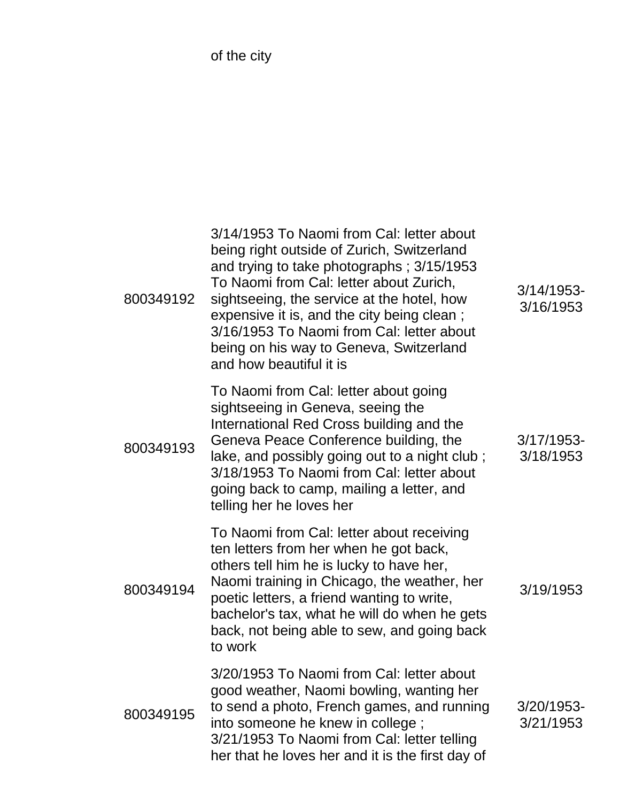of the city

| 800349192 | 3/14/1953 To Naomi from Cal: letter about<br>being right outside of Zurich, Switzerland<br>and trying to take photographs; 3/15/1953<br>To Naomi from Cal: letter about Zurich,<br>sightseeing, the service at the hotel, how<br>expensive it is, and the city being clean;<br>3/16/1953 To Naomi from Cal: letter about<br>being on his way to Geneva, Switzerland<br>and how beautiful it is | 3/14/1953-<br>3/16/1953    |
|-----------|------------------------------------------------------------------------------------------------------------------------------------------------------------------------------------------------------------------------------------------------------------------------------------------------------------------------------------------------------------------------------------------------|----------------------------|
| 800349193 | To Naomi from Cal: letter about going<br>sightseeing in Geneva, seeing the<br>International Red Cross building and the<br>Geneva Peace Conference building, the<br>lake, and possibly going out to a night club;<br>3/18/1953 To Naomi from Cal: letter about<br>going back to camp, mailing a letter, and<br>telling her he loves her                                                         | $3/17/1953$ -<br>3/18/1953 |
| 800349194 | To Naomi from Cal: letter about receiving<br>ten letters from her when he got back,<br>others tell him he is lucky to have her,<br>Naomi training in Chicago, the weather, her<br>poetic letters, a friend wanting to write,<br>bachelor's tax, what he will do when he gets<br>back, not being able to sew, and going back<br>to work                                                         | 3/19/1953                  |
| 800349195 | 3/20/1953 To Naomi from Cal: letter about<br>good weather, Naomi bowling, wanting her<br>to send a photo, French games, and running<br>into someone he knew in college;<br>3/21/1953 To Naomi from Cal: letter telling<br>her that he loves her and it is the first day of                                                                                                                     | 3/20/1953-<br>3/21/1953    |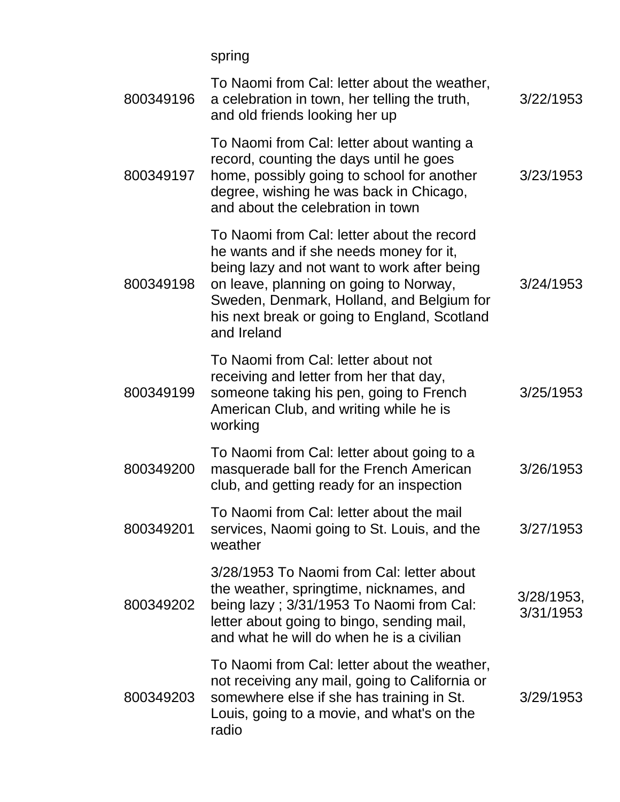spring

| 800349196 | To Naomi from Cal: letter about the weather,<br>a celebration in town, her telling the truth,<br>and old friends looking her up                                                                                                                                                            | 3/22/1953                  |
|-----------|--------------------------------------------------------------------------------------------------------------------------------------------------------------------------------------------------------------------------------------------------------------------------------------------|----------------------------|
| 800349197 | To Naomi from Cal: letter about wanting a<br>record, counting the days until he goes<br>home, possibly going to school for another<br>degree, wishing he was back in Chicago,<br>and about the celebration in town                                                                         | 3/23/1953                  |
| 800349198 | To Naomi from Cal: letter about the record<br>he wants and if she needs money for it,<br>being lazy and not want to work after being<br>on leave, planning on going to Norway,<br>Sweden, Denmark, Holland, and Belgium for<br>his next break or going to England, Scotland<br>and Ireland | 3/24/1953                  |
| 800349199 | To Naomi from Cal: letter about not<br>receiving and letter from her that day,<br>someone taking his pen, going to French<br>American Club, and writing while he is<br>working                                                                                                             | 3/25/1953                  |
| 800349200 | To Naomi from Cal: letter about going to a<br>masquerade ball for the French American<br>club, and getting ready for an inspection                                                                                                                                                         | 3/26/1953                  |
| 800349201 | To Naomi from Cal: letter about the mail<br>services, Naomi going to St. Louis, and the<br>weather                                                                                                                                                                                         | 3/27/1953                  |
| 800349202 | 3/28/1953 To Naomi from Cal: letter about<br>the weather, springtime, nicknames, and<br>being lazy; 3/31/1953 To Naomi from Cal:<br>letter about going to bingo, sending mail,<br>and what he will do when he is a civilian                                                                | $3/28/1953$ ,<br>3/31/1953 |
| 800349203 | To Naomi from Cal: letter about the weather,<br>not receiving any mail, going to California or<br>somewhere else if she has training in St.<br>Louis, going to a movie, and what's on the<br>radio                                                                                         | 3/29/1953                  |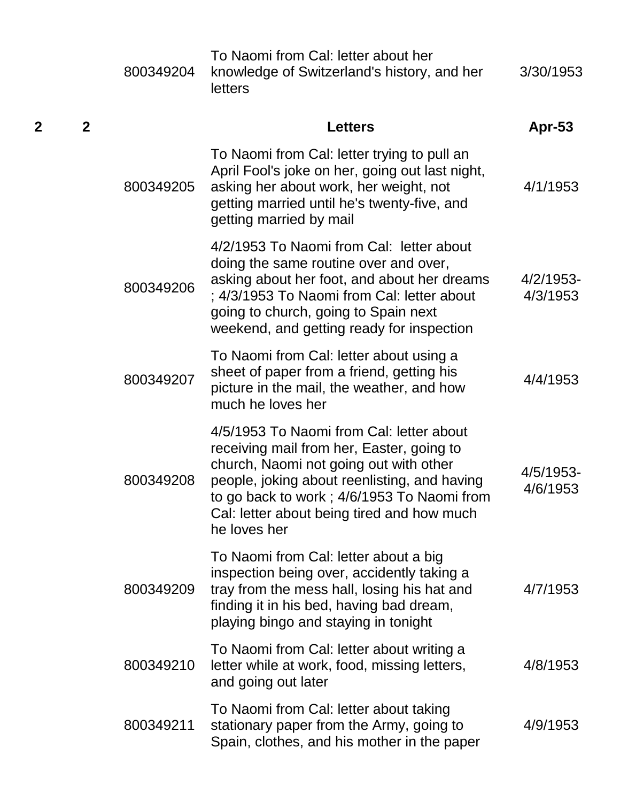|   |              | 800349204 | To Naomi from Cal: letter about her<br>knowledge of Switzerland's history, and her<br>letters                                                                                                                                                                                                | 3/30/1953             |
|---|--------------|-----------|----------------------------------------------------------------------------------------------------------------------------------------------------------------------------------------------------------------------------------------------------------------------------------------------|-----------------------|
| 2 | $\mathbf{2}$ |           | <b>Letters</b>                                                                                                                                                                                                                                                                               | <b>Apr-53</b>         |
|   |              | 800349205 | To Naomi from Cal: letter trying to pull an<br>April Fool's joke on her, going out last night,<br>asking her about work, her weight, not<br>getting married until he's twenty-five, and<br>getting married by mail                                                                           | 4/1/1953              |
|   |              | 800349206 | 4/2/1953 To Naomi from Cal: letter about<br>doing the same routine over and over,<br>asking about her foot, and about her dreams<br>; 4/3/1953 To Naomi from Cal: letter about<br>going to church, going to Spain next<br>weekend, and getting ready for inspection                          | 4/2/1953-<br>4/3/1953 |
|   |              | 800349207 | To Naomi from Cal: letter about using a<br>sheet of paper from a friend, getting his<br>picture in the mail, the weather, and how<br>much he loves her                                                                                                                                       | 4/4/1953              |
|   |              | 800349208 | 4/5/1953 To Naomi from Cal: letter about<br>receiving mail from her, Easter, going to<br>church, Naomi not going out with other<br>people, joking about reenlisting, and having<br>to go back to work ; 4/6/1953 To Naomi from<br>Cal: letter about being tired and how much<br>he loves her | 4/5/1953-<br>4/6/1953 |
|   |              | 800349209 | To Naomi from Cal: letter about a big<br>inspection being over, accidently taking a<br>tray from the mess hall, losing his hat and<br>finding it in his bed, having bad dream,<br>playing bingo and staying in tonight                                                                       | 4/7/1953              |
|   |              | 800349210 | To Naomi from Cal: letter about writing a<br>letter while at work, food, missing letters,<br>and going out later                                                                                                                                                                             | 4/8/1953              |
|   |              | 800349211 | To Naomi from Cal: letter about taking<br>stationary paper from the Army, going to<br>Spain, clothes, and his mother in the paper                                                                                                                                                            | 4/9/1953              |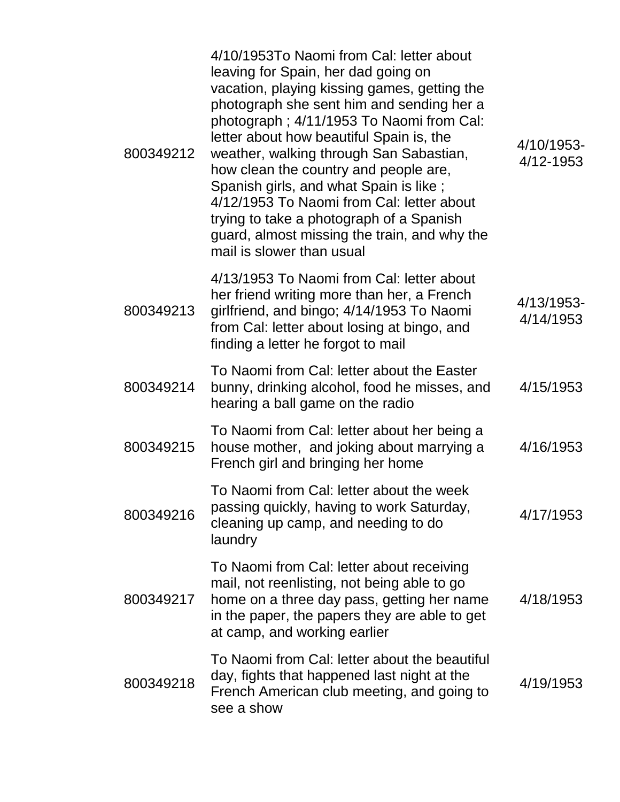| 800349212 | 4/10/1953To Naomi from Cal: letter about<br>leaving for Spain, her dad going on<br>vacation, playing kissing games, getting the<br>photograph she sent him and sending her a<br>photograph; 4/11/1953 To Naomi from Cal:<br>letter about how beautiful Spain is, the<br>weather, walking through San Sabastian,<br>how clean the country and people are,<br>Spanish girls, and what Spain is like;<br>4/12/1953 To Naomi from Cal: letter about<br>trying to take a photograph of a Spanish<br>guard, almost missing the train, and why the<br>mail is slower than usual | 4/10/1953-<br>4/12-1953 |
|-----------|--------------------------------------------------------------------------------------------------------------------------------------------------------------------------------------------------------------------------------------------------------------------------------------------------------------------------------------------------------------------------------------------------------------------------------------------------------------------------------------------------------------------------------------------------------------------------|-------------------------|
| 800349213 | 4/13/1953 To Naomi from Cal: letter about<br>her friend writing more than her, a French<br>girlfriend, and bingo; 4/14/1953 To Naomi<br>from Cal: letter about losing at bingo, and<br>finding a letter he forgot to mail                                                                                                                                                                                                                                                                                                                                                | 4/13/1953-<br>4/14/1953 |
| 800349214 | To Naomi from Cal: letter about the Easter<br>bunny, drinking alcohol, food he misses, and<br>hearing a ball game on the radio                                                                                                                                                                                                                                                                                                                                                                                                                                           | 4/15/1953               |
| 800349215 | To Naomi from Cal: letter about her being a<br>house mother, and joking about marrying a<br>French girl and bringing her home                                                                                                                                                                                                                                                                                                                                                                                                                                            | 4/16/1953               |
| 800349216 | To Naomi from Cal: letter about the week<br>passing quickly, having to work Saturday,<br>cleaning up camp, and needing to do<br>laundry                                                                                                                                                                                                                                                                                                                                                                                                                                  | 4/17/1953               |
| 800349217 | To Naomi from Cal: letter about receiving<br>mail, not reenlisting, not being able to go<br>home on a three day pass, getting her name<br>in the paper, the papers they are able to get<br>at camp, and working earlier                                                                                                                                                                                                                                                                                                                                                  | 4/18/1953               |
| 800349218 | To Naomi from Cal: letter about the beautiful<br>day, fights that happened last night at the<br>French American club meeting, and going to<br>see a show                                                                                                                                                                                                                                                                                                                                                                                                                 | 4/19/1953               |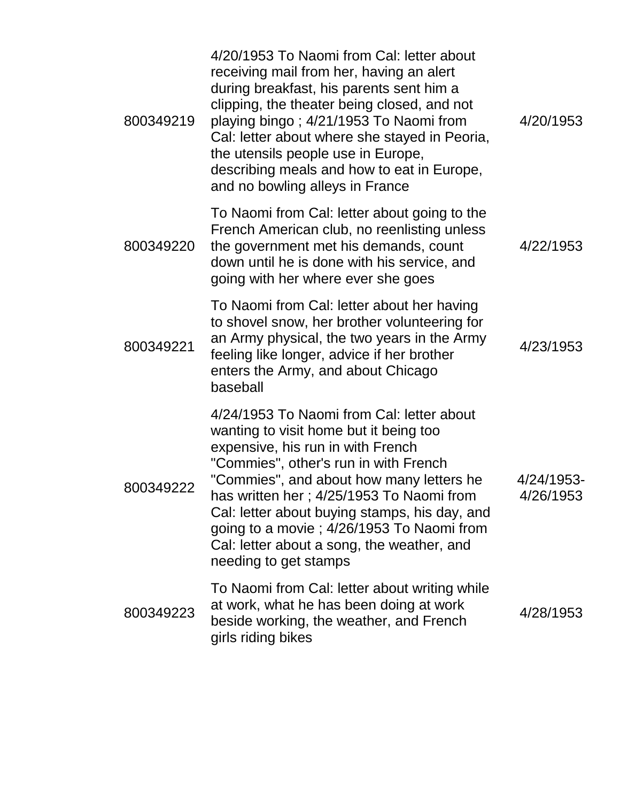| 800349219 | 4/20/1953 To Naomi from Cal: letter about<br>receiving mail from her, having an alert<br>during breakfast, his parents sent him a<br>clipping, the theater being closed, and not<br>playing bingo; 4/21/1953 To Naomi from<br>Cal: letter about where she stayed in Peoria,<br>the utensils people use in Europe,<br>describing meals and how to eat in Europe,<br>and no bowling alleys in France                             | 4/20/1953               |
|-----------|--------------------------------------------------------------------------------------------------------------------------------------------------------------------------------------------------------------------------------------------------------------------------------------------------------------------------------------------------------------------------------------------------------------------------------|-------------------------|
| 800349220 | To Naomi from Cal: letter about going to the<br>French American club, no reenlisting unless<br>the government met his demands, count<br>down until he is done with his service, and<br>going with her where ever she goes                                                                                                                                                                                                      | 4/22/1953               |
| 800349221 | To Naomi from Cal: letter about her having<br>to shovel snow, her brother volunteering for<br>an Army physical, the two years in the Army<br>feeling like longer, advice if her brother<br>enters the Army, and about Chicago<br>baseball                                                                                                                                                                                      | 4/23/1953               |
| 800349222 | 4/24/1953 To Naomi from Cal: letter about<br>wanting to visit home but it being too<br>expensive, his run in with French<br>"Commies", other's run in with French<br>"Commies", and about how many letters he<br>has written her; 4/25/1953 To Naomi from<br>Cal: letter about buying stamps, his day, and<br>going to a movie; 4/26/1953 To Naomi from<br>Cal: letter about a song, the weather, and<br>needing to get stamps | 4/24/1953-<br>4/26/1953 |
| 800349223 | To Naomi from Cal: letter about writing while<br>at work, what he has been doing at work<br>beside working, the weather, and French<br>girls riding bikes                                                                                                                                                                                                                                                                      | 4/28/1953               |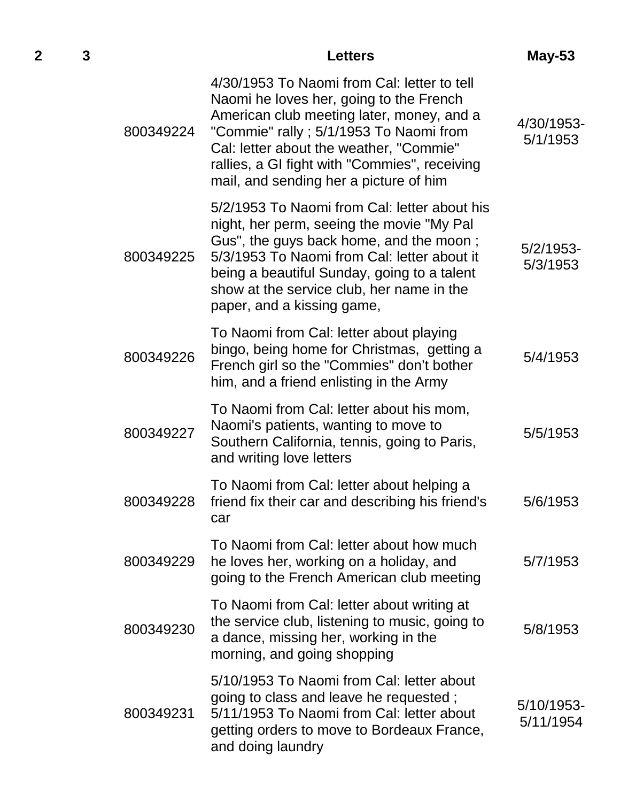|           | <b>Letters</b>                                                                                                                                                                                                                                                                                                       | May-53                   |
|-----------|----------------------------------------------------------------------------------------------------------------------------------------------------------------------------------------------------------------------------------------------------------------------------------------------------------------------|--------------------------|
| 800349224 | 4/30/1953 To Naomi from Cal: letter to tell<br>Naomi he loves her, going to the French<br>American club meeting later, money, and a<br>"Commie" rally ; 5/1/1953 To Naomi from<br>Cal: letter about the weather, "Commie"<br>rallies, a GI fight with "Commies", receiving<br>mail, and sending her a picture of him | 4/30/1953-<br>5/1/1953   |
| 800349225 | 5/2/1953 To Naomi from Cal: letter about his<br>night, her perm, seeing the movie "My Pal<br>Gus", the guys back home, and the moon;<br>5/3/1953 To Naomi from Cal: letter about it<br>being a beautiful Sunday, going to a talent<br>show at the service club, her name in the<br>paper, and a kissing game,        | $5/2/1953$ -<br>5/3/1953 |
| 800349226 | To Naomi from Cal: letter about playing<br>bingo, being home for Christmas, getting a<br>French girl so the "Commies" don't bother<br>him, and a friend enlisting in the Army                                                                                                                                        | 5/4/1953                 |
| 800349227 | To Naomi from Cal: letter about his mom,<br>Naomi's patients, wanting to move to<br>Southern California, tennis, going to Paris,<br>and writing love letters                                                                                                                                                         | 5/5/1953                 |
| 800349228 | To Naomi from Cal: letter about helping a<br>friend fix their car and describing his friend's<br>car                                                                                                                                                                                                                 | 5/6/1953                 |
| 800349229 | To Naomi from Cal: letter about how much<br>he loves her, working on a holiday, and<br>going to the French American club meeting                                                                                                                                                                                     | 5/7/1953                 |
| 800349230 | To Naomi from Cal: letter about writing at<br>the service club, listening to music, going to<br>a dance, missing her, working in the<br>morning, and going shopping                                                                                                                                                  | 5/8/1953                 |
| 800349231 | 5/10/1953 To Naomi from Cal: letter about<br>going to class and leave he requested;<br>5/11/1953 To Naomi from Cal: letter about<br>getting orders to move to Bordeaux France,<br>and doing laundry                                                                                                                  | 5/10/1953-<br>5/11/1954  |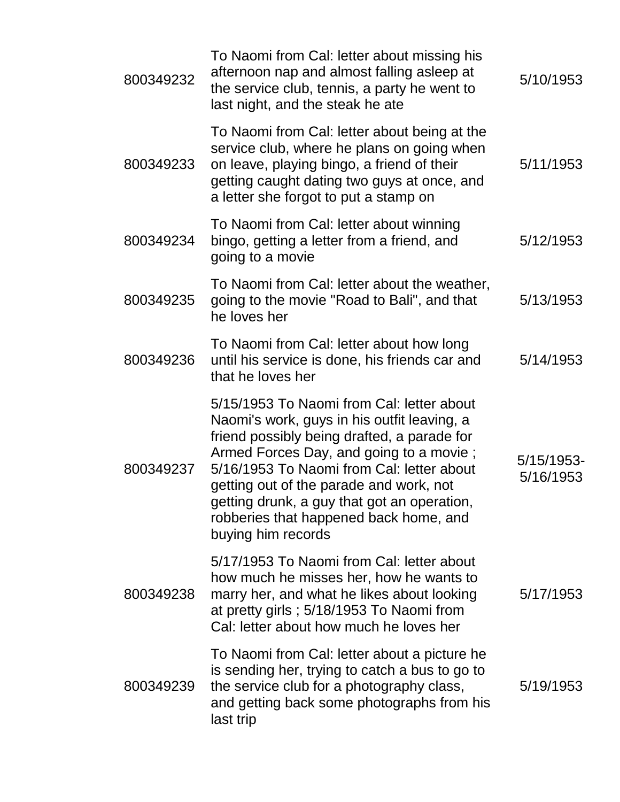| 800349232 | To Naomi from Cal: letter about missing his<br>afternoon nap and almost falling asleep at<br>the service club, tennis, a party he went to<br>last night, and the steak he ate                                                                                                                                                                                                             | 5/10/1953               |
|-----------|-------------------------------------------------------------------------------------------------------------------------------------------------------------------------------------------------------------------------------------------------------------------------------------------------------------------------------------------------------------------------------------------|-------------------------|
| 800349233 | To Naomi from Cal: letter about being at the<br>service club, where he plans on going when<br>on leave, playing bingo, a friend of their<br>getting caught dating two guys at once, and<br>a letter she forgot to put a stamp on                                                                                                                                                          | 5/11/1953               |
| 800349234 | To Naomi from Cal: letter about winning<br>bingo, getting a letter from a friend, and<br>going to a movie                                                                                                                                                                                                                                                                                 | 5/12/1953               |
| 800349235 | To Naomi from Cal: letter about the weather,<br>going to the movie "Road to Bali", and that<br>he loves her                                                                                                                                                                                                                                                                               | 5/13/1953               |
| 800349236 | To Naomi from Cal: letter about how long<br>until his service is done, his friends car and<br>that he loves her                                                                                                                                                                                                                                                                           | 5/14/1953               |
| 800349237 | 5/15/1953 To Naomi from Cal: letter about<br>Naomi's work, guys in his outfit leaving, a<br>friend possibly being drafted, a parade for<br>Armed Forces Day, and going to a movie;<br>5/16/1953 To Naomi from Cal: letter about<br>getting out of the parade and work, not<br>getting drunk, a guy that got an operation,<br>robberies that happened back home, and<br>buying him records | 5/15/1953-<br>5/16/1953 |
| 800349238 | 5/17/1953 To Naomi from Cal: letter about<br>how much he misses her, how he wants to<br>marry her, and what he likes about looking<br>at pretty girls; 5/18/1953 To Naomi from<br>Cal: letter about how much he loves her                                                                                                                                                                 | 5/17/1953               |
| 800349239 | To Naomi from Cal: letter about a picture he<br>is sending her, trying to catch a bus to go to<br>the service club for a photography class,<br>and getting back some photographs from his<br>last trip                                                                                                                                                                                    | 5/19/1953               |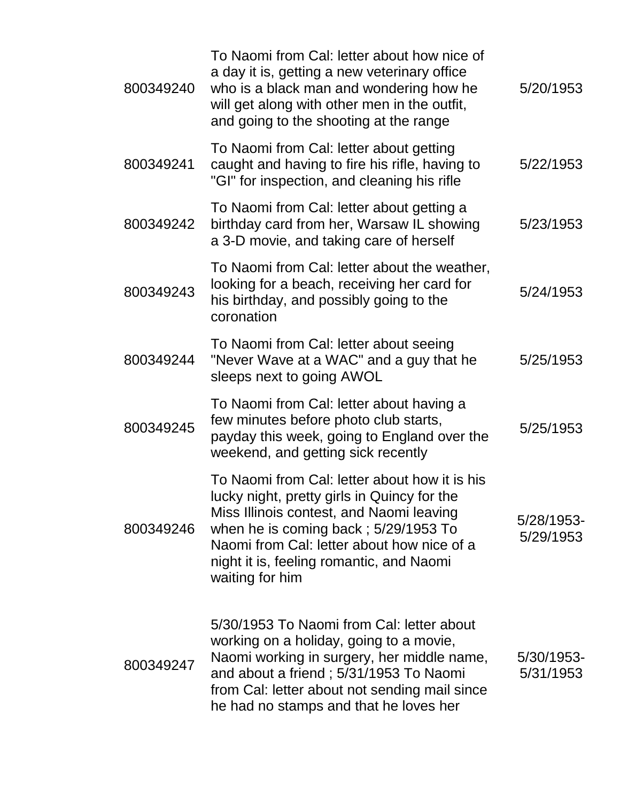| 800349240 | To Naomi from Cal: letter about how nice of<br>a day it is, getting a new veterinary office<br>who is a black man and wondering how he<br>will get along with other men in the outfit,<br>and going to the shooting at the range                                                                | 5/20/1953               |
|-----------|-------------------------------------------------------------------------------------------------------------------------------------------------------------------------------------------------------------------------------------------------------------------------------------------------|-------------------------|
| 800349241 | To Naomi from Cal: letter about getting<br>caught and having to fire his rifle, having to<br>"GI" for inspection, and cleaning his rifle                                                                                                                                                        | 5/22/1953               |
| 800349242 | To Naomi from Cal: letter about getting a<br>birthday card from her, Warsaw IL showing<br>a 3-D movie, and taking care of herself                                                                                                                                                               | 5/23/1953               |
| 800349243 | To Naomi from Cal: letter about the weather,<br>looking for a beach, receiving her card for<br>his birthday, and possibly going to the<br>coronation                                                                                                                                            | 5/24/1953               |
| 800349244 | To Naomi from Cal: letter about seeing<br>"Never Wave at a WAC" and a guy that he<br>sleeps next to going AWOL                                                                                                                                                                                  | 5/25/1953               |
| 800349245 | To Naomi from Cal: letter about having a<br>few minutes before photo club starts,<br>payday this week, going to England over the<br>weekend, and getting sick recently                                                                                                                          | 5/25/1953               |
| 800349246 | To Naomi from Cal: letter about how it is his<br>lucky night, pretty girls in Quincy for the<br>Miss Illinois contest, and Naomi leaving<br>when he is coming back; $5/29/1953$ To<br>Naomi from Cal: letter about how nice of a<br>night it is, feeling romantic, and Naomi<br>waiting for him | 5/28/1953-<br>5/29/1953 |
| 800349247 | 5/30/1953 To Naomi from Cal: letter about<br>working on a holiday, going to a movie,<br>Naomi working in surgery, her middle name,<br>and about a friend; 5/31/1953 To Naomi<br>from Cal: letter about not sending mail since<br>he had no stamps and that he loves her                         | 5/30/1953-<br>5/31/1953 |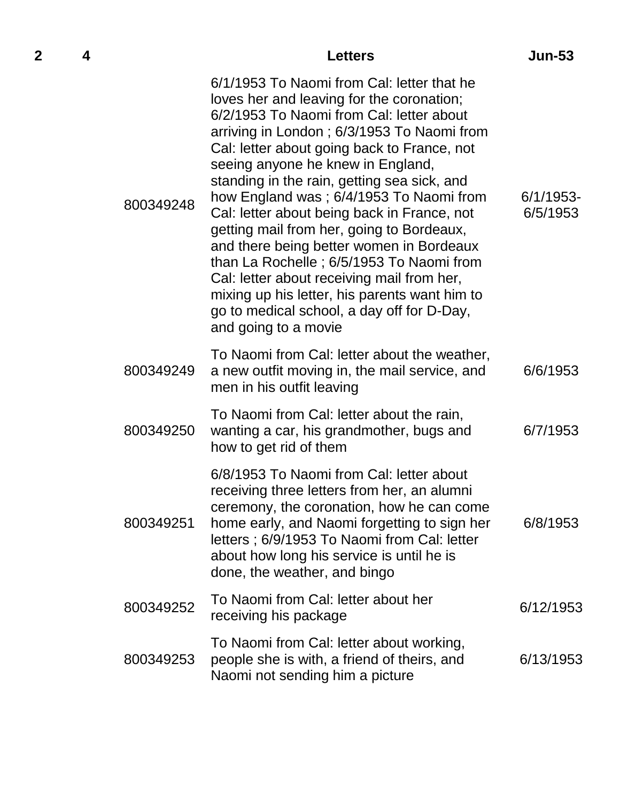| 2 | 4 |           | <b>Letters</b>                                                                                                                                                                                                                                                                                                                                                                                                                                                                                                                                                                                                                                                                                                           | <b>Jun-53</b>            |
|---|---|-----------|--------------------------------------------------------------------------------------------------------------------------------------------------------------------------------------------------------------------------------------------------------------------------------------------------------------------------------------------------------------------------------------------------------------------------------------------------------------------------------------------------------------------------------------------------------------------------------------------------------------------------------------------------------------------------------------------------------------------------|--------------------------|
|   |   | 800349248 | 6/1/1953 To Naomi from Cal: letter that he<br>loves her and leaving for the coronation;<br>6/2/1953 To Naomi from Cal: letter about<br>arriving in London; 6/3/1953 To Naomi from<br>Cal: letter about going back to France, not<br>seeing anyone he knew in England,<br>standing in the rain, getting sea sick, and<br>how England was; 6/4/1953 To Naomi from<br>Cal: letter about being back in France, not<br>getting mail from her, going to Bordeaux,<br>and there being better women in Bordeaux<br>than La Rochelle; 6/5/1953 To Naomi from<br>Cal: letter about receiving mail from her,<br>mixing up his letter, his parents want him to<br>go to medical school, a day off for D-Day,<br>and going to a movie | $6/1/1953$ -<br>6/5/1953 |
|   |   | 800349249 | To Naomi from Cal: letter about the weather,<br>a new outfit moving in, the mail service, and<br>men in his outfit leaving                                                                                                                                                                                                                                                                                                                                                                                                                                                                                                                                                                                               | 6/6/1953                 |
|   |   | 800349250 | To Naomi from Cal: letter about the rain,<br>wanting a car, his grandmother, bugs and<br>how to get rid of them                                                                                                                                                                                                                                                                                                                                                                                                                                                                                                                                                                                                          | 6/7/1953                 |
|   |   | 800349251 | 6/8/1953 To Naomi from Cal: letter about<br>receiving three letters from her, an alumni<br>ceremony, the coronation, how he can come<br>home early, and Naomi forgetting to sign her<br>letters; 6/9/1953 To Naomi from Cal: letter<br>about how long his service is until he is<br>done, the weather, and bingo                                                                                                                                                                                                                                                                                                                                                                                                         | 6/8/1953                 |
|   |   | 800349252 | To Naomi from Cal: letter about her<br>receiving his package                                                                                                                                                                                                                                                                                                                                                                                                                                                                                                                                                                                                                                                             | 6/12/1953                |
|   |   | 800349253 | To Naomi from Cal: letter about working,<br>people she is with, a friend of theirs, and<br>Naomi not sending him a picture                                                                                                                                                                                                                                                                                                                                                                                                                                                                                                                                                                                               | 6/13/1953                |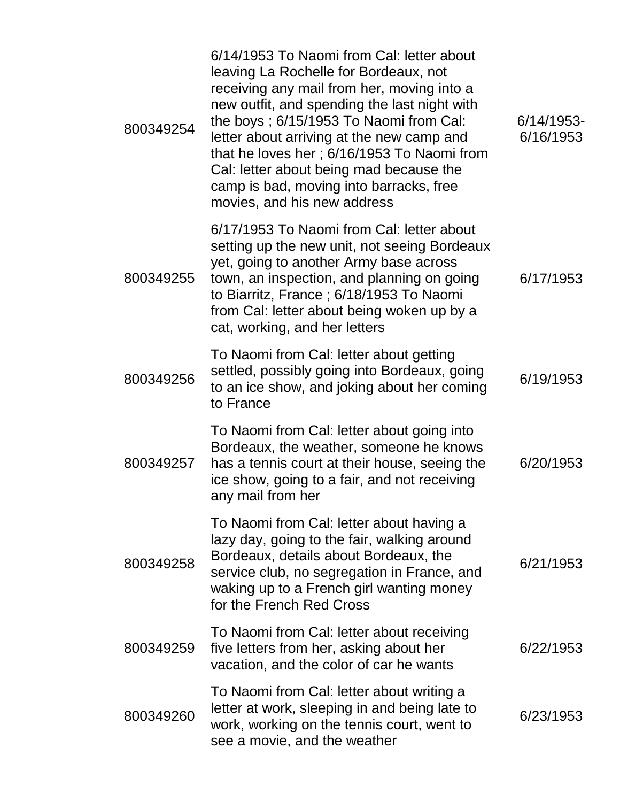| 800349254 | 6/14/1953 To Naomi from Cal: letter about<br>leaving La Rochelle for Bordeaux, not<br>receiving any mail from her, moving into a<br>new outfit, and spending the last night with<br>the boys; 6/15/1953 To Naomi from Cal:<br>letter about arriving at the new camp and<br>that he loves her; 6/16/1953 To Naomi from<br>Cal: letter about being mad because the<br>camp is bad, moving into barracks, free<br>movies, and his new address | $6/14/1953$ -<br>6/16/1953 |
|-----------|--------------------------------------------------------------------------------------------------------------------------------------------------------------------------------------------------------------------------------------------------------------------------------------------------------------------------------------------------------------------------------------------------------------------------------------------|----------------------------|
| 800349255 | 6/17/1953 To Naomi from Cal: letter about<br>setting up the new unit, not seeing Bordeaux<br>yet, going to another Army base across<br>town, an inspection, and planning on going<br>to Biarritz, France; 6/18/1953 To Naomi<br>from Cal: letter about being woken up by a<br>cat, working, and her letters                                                                                                                                | 6/17/1953                  |
| 800349256 | To Naomi from Cal: letter about getting<br>settled, possibly going into Bordeaux, going<br>to an ice show, and joking about her coming<br>to France                                                                                                                                                                                                                                                                                        | 6/19/1953                  |
| 800349257 | To Naomi from Cal: letter about going into<br>Bordeaux, the weather, someone he knows<br>has a tennis court at their house, seeing the<br>ice show, going to a fair, and not receiving<br>any mail from her                                                                                                                                                                                                                                | 6/20/1953                  |
| 800349258 | To Naomi from Cal: letter about having a<br>lazy day, going to the fair, walking around<br>Bordeaux, details about Bordeaux, the<br>service club, no segregation in France, and<br>waking up to a French girl wanting money<br>for the French Red Cross                                                                                                                                                                                    | 6/21/1953                  |
| 800349259 | To Naomi from Cal: letter about receiving<br>five letters from her, asking about her<br>vacation, and the color of car he wants                                                                                                                                                                                                                                                                                                            | 6/22/1953                  |
| 800349260 | To Naomi from Cal: letter about writing a<br>letter at work, sleeping in and being late to<br>work, working on the tennis court, went to<br>see a movie, and the weather                                                                                                                                                                                                                                                                   | 6/23/1953                  |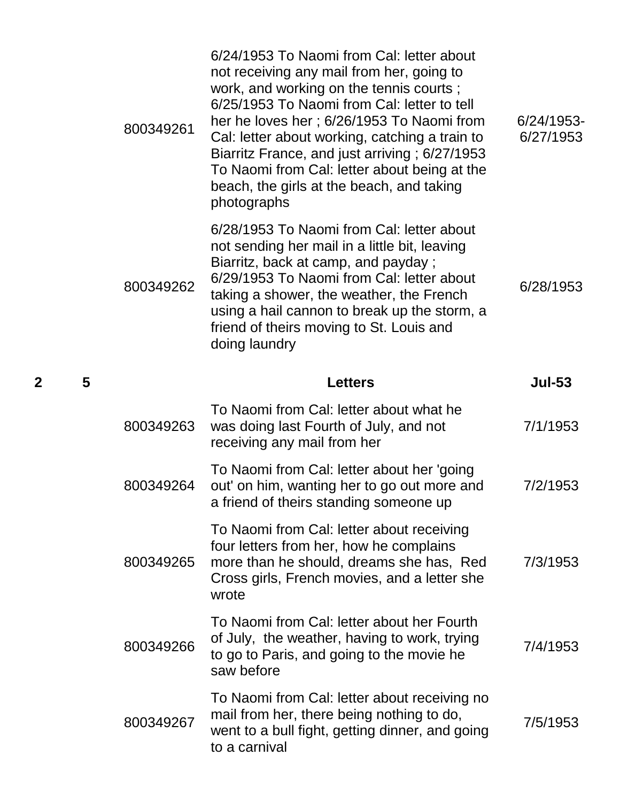| 800349261 | 6/24/1953 To Naomi from Cal: letter about<br>not receiving any mail from her, going to<br>work, and working on the tennis courts;<br>6/25/1953 To Naomi from Cal: letter to tell<br>her he loves her; 6/26/1953 To Naomi from<br>Cal: letter about working, catching a train to<br>Biarritz France, and just arriving; 6/27/1953<br>To Naomi from Cal: letter about being at the<br>beach, the girls at the beach, and taking<br>photographs | 6/24/1953-<br>6/27/1953 |
|-----------|----------------------------------------------------------------------------------------------------------------------------------------------------------------------------------------------------------------------------------------------------------------------------------------------------------------------------------------------------------------------------------------------------------------------------------------------|-------------------------|
| 800349262 | 6/28/1953 To Naomi from Cal: letter about<br>not sending her mail in a little bit, leaving<br>Biarritz, back at camp, and payday;<br>6/29/1953 To Naomi from Cal: letter about<br>taking a shower, the weather, the French<br>using a hail cannon to break up the storm, a<br>friend of theirs moving to St. Louis and<br>doing laundry                                                                                                      | 6/28/1953               |
|           | <b>Letters</b>                                                                                                                                                                                                                                                                                                                                                                                                                               | <b>Jul-53</b>           |
| 800349263 | To Naomi from Cal: letter about what he<br>was doing last Fourth of July, and not<br>receiving any mail from her                                                                                                                                                                                                                                                                                                                             | 7/1/1953                |
|           | To Naomi from Cal: letter about her 'going                                                                                                                                                                                                                                                                                                                                                                                                   |                         |
| 800349264 | out' on him, wanting her to go out more and<br>a friend of theirs standing someone up                                                                                                                                                                                                                                                                                                                                                        | 7/2/1953                |
| 800349265 | To Naomi from Cal: letter about receiving<br>four letters from her, how he complains<br>more than he should, dreams she has, Red<br>Cross girls, French movies, and a letter she<br>wrote                                                                                                                                                                                                                                                    | 7/3/1953                |
| 800349266 | To Naomi from Cal: letter about her Fourth<br>of July, the weather, having to work, trying<br>to go to Paris, and going to the movie he<br>saw before                                                                                                                                                                                                                                                                                        | 7/4/1953                |

**2 5 Letters Jul-53**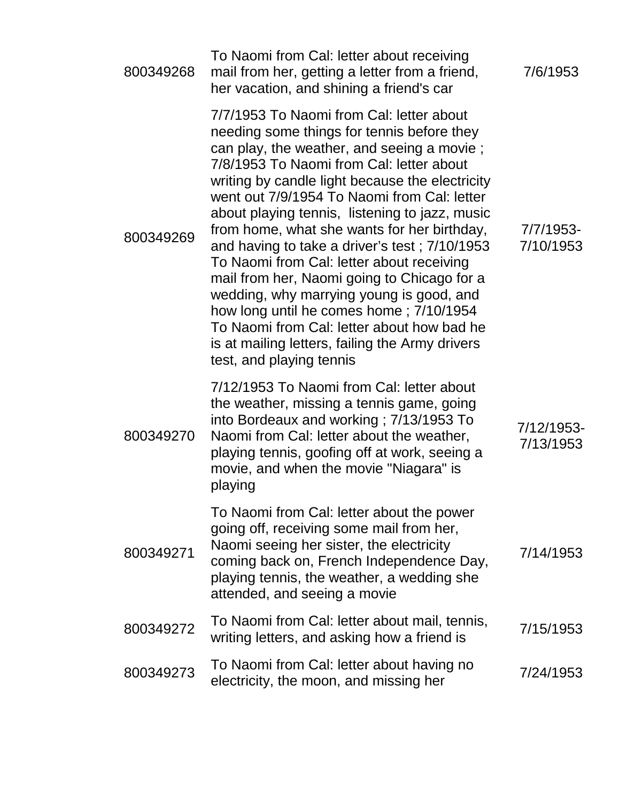| 800349268 | To Naomi from Cal: letter about receiving<br>mail from her, getting a letter from a friend,<br>her vacation, and shining a friend's car                                                                                                                                                                                                                                                                                                                                                                                                                                                                                                                                                                                                              | 7/6/1953                |
|-----------|------------------------------------------------------------------------------------------------------------------------------------------------------------------------------------------------------------------------------------------------------------------------------------------------------------------------------------------------------------------------------------------------------------------------------------------------------------------------------------------------------------------------------------------------------------------------------------------------------------------------------------------------------------------------------------------------------------------------------------------------------|-------------------------|
| 800349269 | 7/7/1953 To Naomi from Cal: letter about<br>needing some things for tennis before they<br>can play, the weather, and seeing a movie;<br>7/8/1953 To Naomi from Cal: letter about<br>writing by candle light because the electricity<br>went out 7/9/1954 To Naomi from Cal: letter<br>about playing tennis, listening to jazz, music<br>from home, what she wants for her birthday,<br>and having to take a driver's test; 7/10/1953<br>To Naomi from Cal: letter about receiving<br>mail from her, Naomi going to Chicago for a<br>wedding, why marrying young is good, and<br>how long until he comes home; 7/10/1954<br>To Naomi from Cal: letter about how bad he<br>is at mailing letters, failing the Army drivers<br>test, and playing tennis | 7/7/1953-<br>7/10/1953  |
| 800349270 | 7/12/1953 To Naomi from Cal: letter about<br>the weather, missing a tennis game, going<br>into Bordeaux and working; 7/13/1953 To<br>Naomi from Cal: letter about the weather,<br>playing tennis, goofing off at work, seeing a<br>movie, and when the movie "Niagara" is<br>playing                                                                                                                                                                                                                                                                                                                                                                                                                                                                 | 7/12/1953-<br>7/13/1953 |
| 800349271 | To Naomi from Cal: letter about the power<br>going off, receiving some mail from her,<br>Naomi seeing her sister, the electricity<br>coming back on, French Independence Day,<br>playing tennis, the weather, a wedding she<br>attended, and seeing a movie                                                                                                                                                                                                                                                                                                                                                                                                                                                                                          | 7/14/1953               |
| 800349272 | To Naomi from Cal: letter about mail, tennis,<br>writing letters, and asking how a friend is                                                                                                                                                                                                                                                                                                                                                                                                                                                                                                                                                                                                                                                         | 7/15/1953               |
| 800349273 | To Naomi from Cal: letter about having no<br>electricity, the moon, and missing her                                                                                                                                                                                                                                                                                                                                                                                                                                                                                                                                                                                                                                                                  | 7/24/1953               |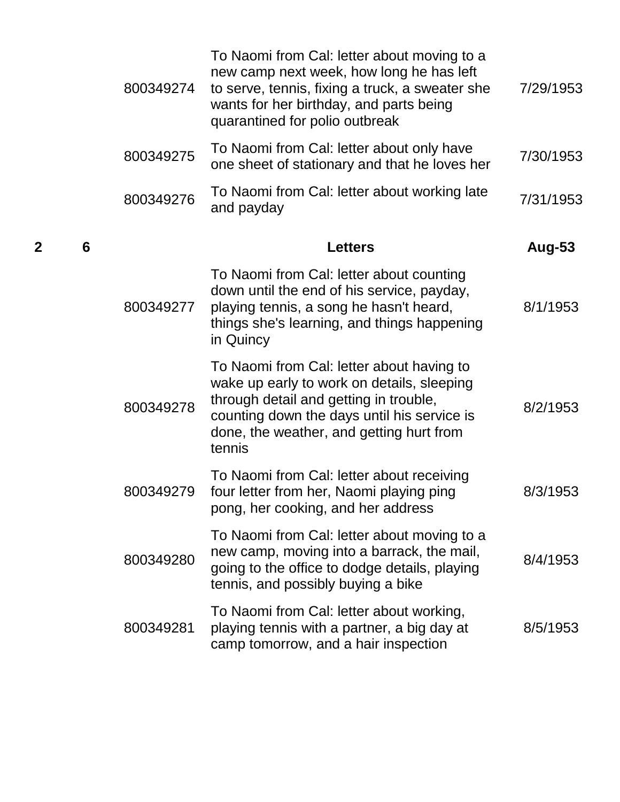| 800349274 | To Naomi from Cal: letter about moving to a<br>new camp next week, how long he has left<br>to serve, tennis, fixing a truck, a sweater she<br>wants for her birthday, and parts being<br>quarantined for polio outbreak                | 7/29/1953 |
|-----------|----------------------------------------------------------------------------------------------------------------------------------------------------------------------------------------------------------------------------------------|-----------|
| 800349275 | To Naomi from Cal: letter about only have<br>one sheet of stationary and that he loves her                                                                                                                                             | 7/30/1953 |
| 800349276 | To Naomi from Cal: letter about working late<br>and payday                                                                                                                                                                             | 7/31/1953 |
|           | <b>Letters</b>                                                                                                                                                                                                                         | Aug-53    |
| 800349277 | To Naomi from Cal: letter about counting<br>down until the end of his service, payday,<br>playing tennis, a song he hasn't heard,<br>things she's learning, and things happening<br>in Quincy                                          | 8/1/1953  |
| 800349278 | To Naomi from Cal: letter about having to<br>wake up early to work on details, sleeping<br>through detail and getting in trouble,<br>counting down the days until his service is<br>done, the weather, and getting hurt from<br>tennis | 8/2/1953  |
| 800349279 | To Naomi from Cal: letter about receiving<br>four letter from her, Naomi playing ping<br>pong, her cooking, and her address                                                                                                            | 8/3/1953  |
| 800349280 | To Naomi from Cal: letter about moving to a<br>new camp, moving into a barrack, the mail,<br>going to the office to dodge details, playing<br>tennis, and possibly buying a bike                                                       | 8/4/1953  |
| 800349281 | To Naomi from Cal: letter about working,<br>playing tennis with a partner, a big day at<br>camp tomorrow, and a hair inspection                                                                                                        | 8/5/1953  |

**2 6 Letters Aug-53**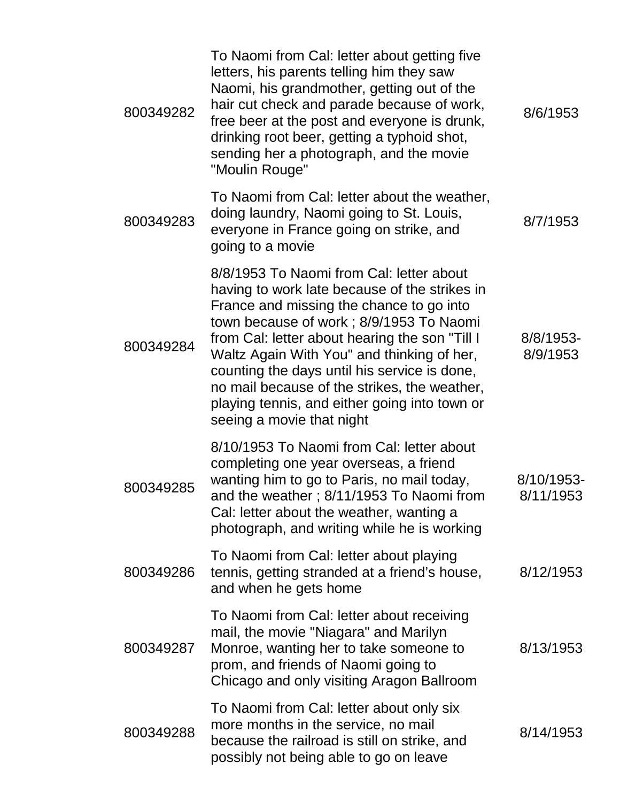| 800349282 | To Naomi from Cal: letter about getting five<br>letters, his parents telling him they saw<br>Naomi, his grandmother, getting out of the<br>hair cut check and parade because of work,<br>free beer at the post and everyone is drunk,<br>drinking root beer, getting a typhoid shot,<br>sending her a photograph, and the movie<br>"Moulin Rouge"                                                                                                              | 8/6/1953                |
|-----------|----------------------------------------------------------------------------------------------------------------------------------------------------------------------------------------------------------------------------------------------------------------------------------------------------------------------------------------------------------------------------------------------------------------------------------------------------------------|-------------------------|
| 800349283 | To Naomi from Cal: letter about the weather,<br>doing laundry, Naomi going to St. Louis,<br>everyone in France going on strike, and<br>going to a movie                                                                                                                                                                                                                                                                                                        | 8/7/1953                |
| 800349284 | 8/8/1953 To Naomi from Cal: letter about<br>having to work late because of the strikes in<br>France and missing the chance to go into<br>town because of work; 8/9/1953 To Naomi<br>from Cal: letter about hearing the son "Till I<br>Waltz Again With You" and thinking of her,<br>counting the days until his service is done,<br>no mail because of the strikes, the weather,<br>playing tennis, and either going into town or<br>seeing a movie that night | 8/8/1953-<br>8/9/1953   |
| 800349285 | 8/10/1953 To Naomi from Cal: letter about<br>completing one year overseas, a friend<br>wanting him to go to Paris, no mail today,<br>and the weather; 8/11/1953 To Naomi from<br>Cal: letter about the weather, wanting a<br>photograph, and writing while he is working                                                                                                                                                                                       | 8/10/1953-<br>8/11/1953 |
| 800349286 | To Naomi from Cal: letter about playing<br>tennis, getting stranded at a friend's house,<br>and when he gets home                                                                                                                                                                                                                                                                                                                                              | 8/12/1953               |
| 800349287 | To Naomi from Cal: letter about receiving<br>mail, the movie "Niagara" and Marilyn<br>Monroe, wanting her to take someone to<br>prom, and friends of Naomi going to<br>Chicago and only visiting Aragon Ballroom                                                                                                                                                                                                                                               | 8/13/1953               |
| 800349288 | To Naomi from Cal: letter about only six<br>more months in the service, no mail<br>because the railroad is still on strike, and<br>possibly not being able to go on leave                                                                                                                                                                                                                                                                                      | 8/14/1953               |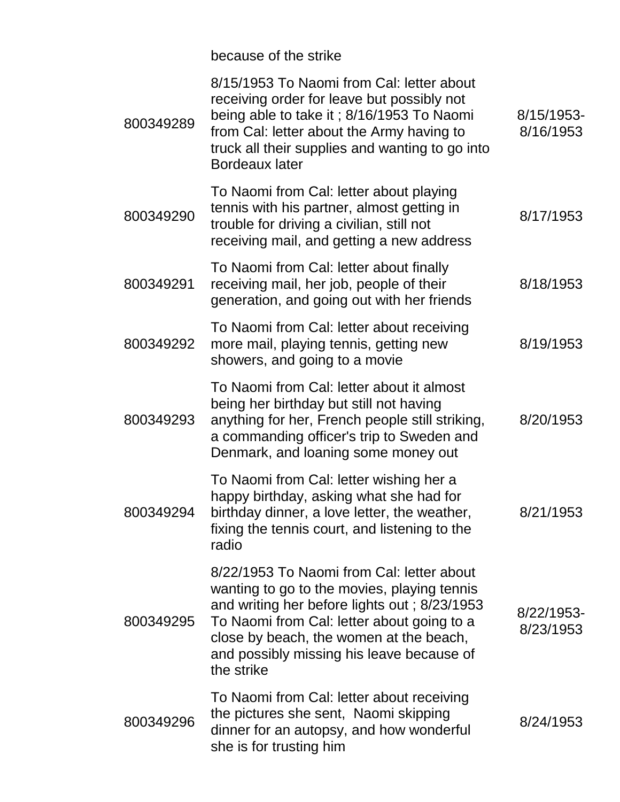because of the strike

| 800349289 | 8/15/1953 To Naomi from Cal: letter about<br>receiving order for leave but possibly not<br>being able to take it; 8/16/1953 To Naomi<br>from Cal: letter about the Army having to<br>truck all their supplies and wanting to go into<br><b>Bordeaux later</b>                                | 8/15/1953-<br>8/16/1953 |
|-----------|----------------------------------------------------------------------------------------------------------------------------------------------------------------------------------------------------------------------------------------------------------------------------------------------|-------------------------|
| 800349290 | To Naomi from Cal: letter about playing<br>tennis with his partner, almost getting in<br>trouble for driving a civilian, still not<br>receiving mail, and getting a new address                                                                                                              | 8/17/1953               |
| 800349291 | To Naomi from Cal: letter about finally<br>receiving mail, her job, people of their<br>generation, and going out with her friends                                                                                                                                                            | 8/18/1953               |
| 800349292 | To Naomi from Cal: letter about receiving<br>more mail, playing tennis, getting new<br>showers, and going to a movie                                                                                                                                                                         | 8/19/1953               |
| 800349293 | To Naomi from Cal: letter about it almost<br>being her birthday but still not having<br>anything for her, French people still striking,<br>a commanding officer's trip to Sweden and<br>Denmark, and loaning some money out                                                                  | 8/20/1953               |
| 800349294 | To Naomi from Cal: letter wishing her a<br>happy birthday, asking what she had for<br>birthday dinner, a love letter, the weather,<br>fixing the tennis court, and listening to the<br>radio                                                                                                 | 8/21/1953               |
| 800349295 | 8/22/1953 To Naomi from Cal: letter about<br>wanting to go to the movies, playing tennis<br>and writing her before lights out; 8/23/1953<br>To Naomi from Cal: letter about going to a<br>close by beach, the women at the beach,<br>and possibly missing his leave because of<br>the strike | 8/22/1953-<br>8/23/1953 |
| 800349296 | To Naomi from Cal: letter about receiving<br>the pictures she sent, Naomi skipping<br>dinner for an autopsy, and how wonderful<br>she is for trusting him                                                                                                                                    | 8/24/1953               |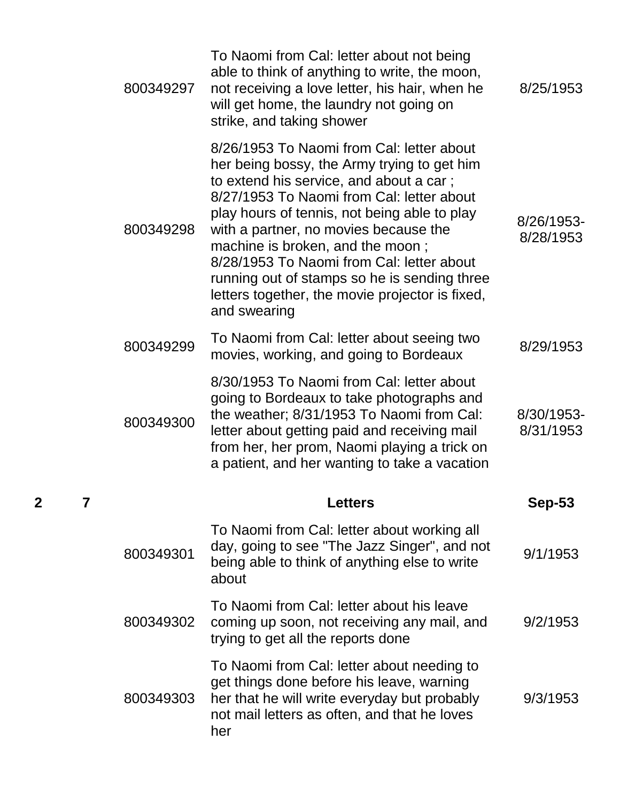| 800349297 | To Naomi from Cal: letter about not being<br>able to think of anything to write, the moon,<br>not receiving a love letter, his hair, when he<br>will get home, the laundry not going on<br>strike, and taking shower                                                                                                                                                                                                                                                          | 8/25/1953               |
|-----------|-------------------------------------------------------------------------------------------------------------------------------------------------------------------------------------------------------------------------------------------------------------------------------------------------------------------------------------------------------------------------------------------------------------------------------------------------------------------------------|-------------------------|
| 800349298 | 8/26/1953 To Naomi from Cal: letter about<br>her being bossy, the Army trying to get him<br>to extend his service, and about a car;<br>8/27/1953 To Naomi from Cal: letter about<br>play hours of tennis, not being able to play<br>with a partner, no movies because the<br>machine is broken, and the moon;<br>8/28/1953 To Naomi from Cal: letter about<br>running out of stamps so he is sending three<br>letters together, the movie projector is fixed,<br>and swearing | 8/26/1953-<br>8/28/1953 |
| 800349299 | To Naomi from Cal: letter about seeing two<br>movies, working, and going to Bordeaux                                                                                                                                                                                                                                                                                                                                                                                          | 8/29/1953               |
| 800349300 | 8/30/1953 To Naomi from Cal: letter about<br>going to Bordeaux to take photographs and<br>the weather; 8/31/1953 To Naomi from Cal:<br>letter about getting paid and receiving mail<br>from her, her prom, Naomi playing a trick on<br>a patient, and her wanting to take a vacation                                                                                                                                                                                          | 8/30/1953-<br>8/31/1953 |
|           | <b>Letters</b>                                                                                                                                                                                                                                                                                                                                                                                                                                                                | <b>Sep-53</b>           |
|           |                                                                                                                                                                                                                                                                                                                                                                                                                                                                               |                         |
| 800349301 | To Naomi from Cal: letter about working all<br>day, going to see "The Jazz Singer", and not<br>being able to think of anything else to write<br>about                                                                                                                                                                                                                                                                                                                         | 9/1/1953                |
| 800349302 | To Naomi from Cal: letter about his leave<br>coming up soon, not receiving any mail, and<br>trying to get all the reports done                                                                                                                                                                                                                                                                                                                                                | 9/2/1953                |

**2 7 Letters Sep-53**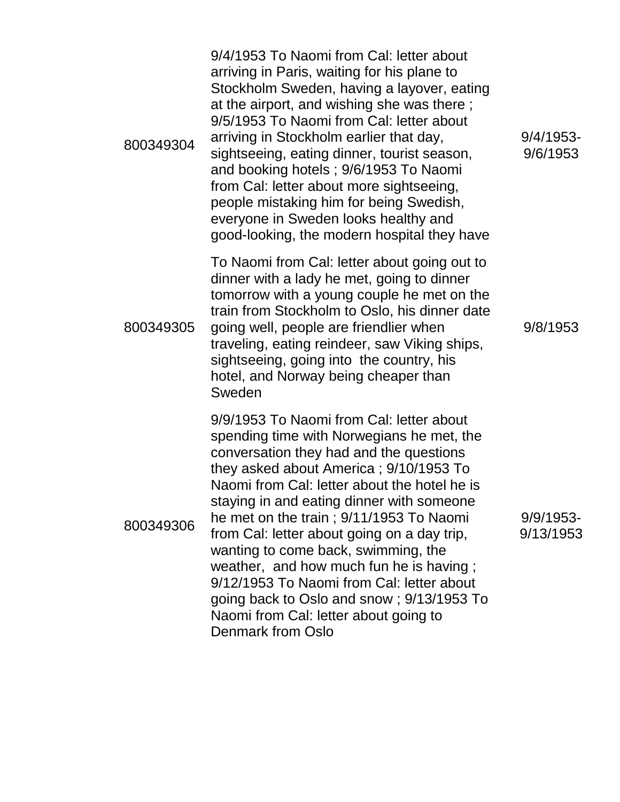| 800349304 | 9/4/1953 To Naomi from Cal: letter about<br>arriving in Paris, waiting for his plane to<br>Stockholm Sweden, having a layover, eating<br>at the airport, and wishing she was there;<br>9/5/1953 To Naomi from Cal: letter about<br>arriving in Stockholm earlier that day,<br>sightseeing, eating dinner, tourist season,<br>and booking hotels; 9/6/1953 To Naomi<br>from Cal: letter about more sightseeing,<br>people mistaking him for being Swedish,<br>everyone in Sweden looks healthy and<br>good-looking, the modern hospital they have                                                            | $9/4/1953$ -<br>9/6/1953  |
|-----------|-------------------------------------------------------------------------------------------------------------------------------------------------------------------------------------------------------------------------------------------------------------------------------------------------------------------------------------------------------------------------------------------------------------------------------------------------------------------------------------------------------------------------------------------------------------------------------------------------------------|---------------------------|
| 800349305 | To Naomi from Cal: letter about going out to<br>dinner with a lady he met, going to dinner<br>tomorrow with a young couple he met on the<br>train from Stockholm to Oslo, his dinner date<br>going well, people are friendlier when<br>traveling, eating reindeer, saw Viking ships,<br>sightseeing, going into the country, his<br>hotel, and Norway being cheaper than<br>Sweden                                                                                                                                                                                                                          | 9/8/1953                  |
| 800349306 | 9/9/1953 To Naomi from Cal: letter about<br>spending time with Norwegians he met, the<br>conversation they had and the questions<br>they asked about America; 9/10/1953 To<br>Naomi from Cal: letter about the hotel he is<br>staying in and eating dinner with someone<br>he met on the train; 9/11/1953 To Naomi<br>from Cal: letter about going on a day trip,<br>wanting to come back, swimming, the<br>weather, and how much fun he is having;<br>9/12/1953 To Naomi from Cal: letter about<br>going back to Oslo and snow; 9/13/1953 To<br>Naomi from Cal: letter about going to<br>Denmark from Oslo | $9/9/1953$ -<br>9/13/1953 |

9/9/1953- 9/13/1953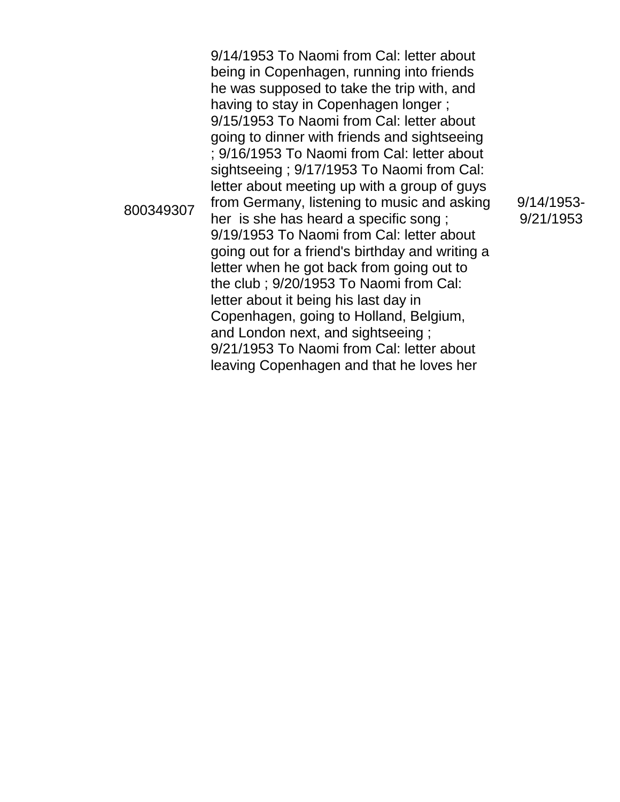800349307 9/14/1953 To Naomi from Cal: letter about being in Copenhagen, running into friends he was supposed to take the trip with, and having to stay in Copenhagen longer ; 9/15/1953 To Naomi from Cal: letter about going to dinner with friends and sightseeing ; 9/16/1953 To Naomi from Cal: letter about sightseeing ; 9/17/1953 To Naomi from Cal: letter about meeting up with a group of guys from Germany, listening to music and asking her is she has heard a specific song ; 9/19/1953 To Naomi from Cal: letter about going out for a friend's birthday and writing a letter when he got back from going out to the club ; 9/20/1953 To Naomi from Cal: letter about it being his last day in Copenhagen, going to Holland, Belgium, and London next, and sightseeing ; 9/21/1953 To Naomi from Cal: letter about leaving Copenhagen and that he loves her

9/14/1953- 9/21/1953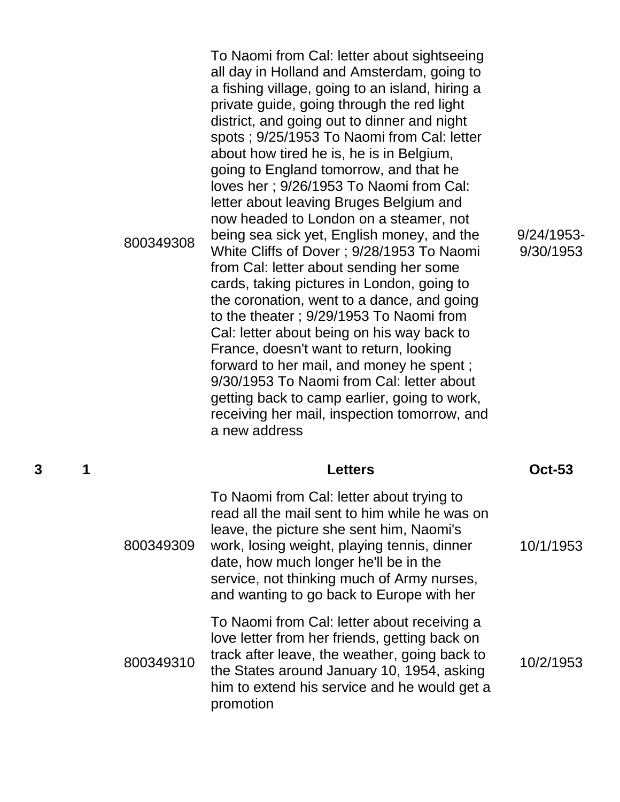800349308 To Naomi from Cal: letter about sightseeing all day in Holland and Amsterdam, going to a fishing village, going to an island, hiring a private guide, going through the red light district, and going out to dinner and night spots ; 9/25/1953 To Naomi from Cal: letter about how tired he is, he is in Belgium, going to England tomorrow, and that he loves her ; 9/26/1953 To Naomi from Cal: letter about leaving Bruges Belgium and now headed to London on a steamer, not being sea sick yet, English money, and the White Cliffs of Dover ; 9/28/1953 To Naomi from Cal: letter about sending her some cards, taking pictures in London, going to the coronation, went to a dance, and going to the theater ; 9/29/1953 To Naomi from Cal: letter about being on his way back to France, doesn't want to return, looking forward to her mail, and money he spent ; 9/30/1953 To Naomi from Cal: letter about getting back to camp earlier, going to work, receiving her mail, inspection tomorrow, and a new address

9/24/1953- 9/30/1953

**3 1 Letters Oct-53**

| 800349309 | To Naomi from Cal: letter about trying to<br>read all the mail sent to him while he was on<br>leave, the picture she sent him, Naomi's<br>work, losing weight, playing tennis, dinner<br>date, how much longer he'll be in the<br>service, not thinking much of Army nurses,<br>and wanting to go back to Europe with her | 10/1/1953 |
|-----------|---------------------------------------------------------------------------------------------------------------------------------------------------------------------------------------------------------------------------------------------------------------------------------------------------------------------------|-----------|
| 800349310 | To Naomi from Cal: letter about receiving a<br>love letter from her friends, getting back on<br>track after leave, the weather, going back to<br>the States around January 10, 1954, asking<br>him to extend his service and he would get a<br>promotion                                                                  | 10/2/1953 |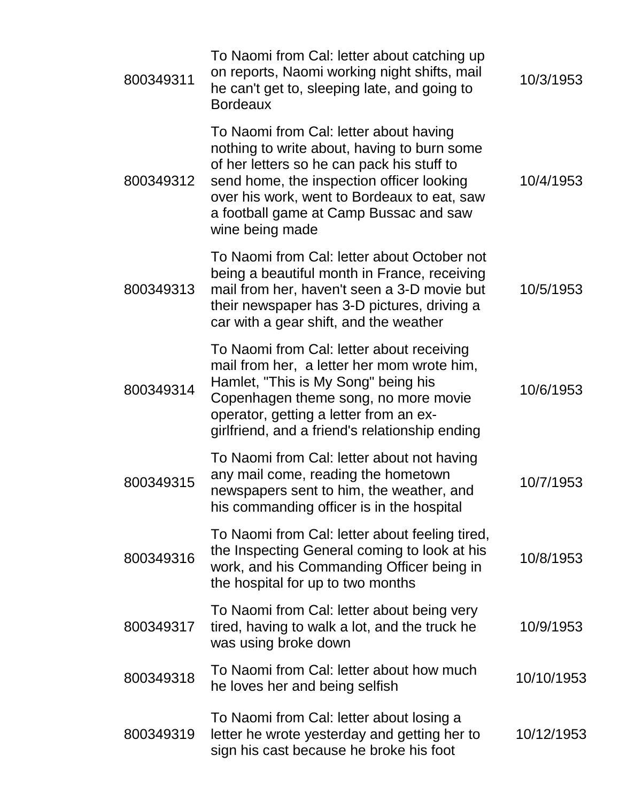| 800349311 | To Naomi from Cal: letter about catching up<br>on reports, Naomi working night shifts, mail<br>he can't get to, sleeping late, and going to<br><b>Bordeaux</b>                                                                                                                               | 10/3/1953  |
|-----------|----------------------------------------------------------------------------------------------------------------------------------------------------------------------------------------------------------------------------------------------------------------------------------------------|------------|
| 800349312 | To Naomi from Cal: letter about having<br>nothing to write about, having to burn some<br>of her letters so he can pack his stuff to<br>send home, the inspection officer looking<br>over his work, went to Bordeaux to eat, saw<br>a football game at Camp Bussac and saw<br>wine being made | 10/4/1953  |
| 800349313 | To Naomi from Cal: letter about October not<br>being a beautiful month in France, receiving<br>mail from her, haven't seen a 3-D movie but<br>their newspaper has 3-D pictures, driving a<br>car with a gear shift, and the weather                                                          | 10/5/1953  |
| 800349314 | To Naomi from Cal: letter about receiving<br>mail from her, a letter her mom wrote him,<br>Hamlet, "This is My Song" being his<br>Copenhagen theme song, no more movie<br>operator, getting a letter from an ex-<br>girlfriend, and a friend's relationship ending                           | 10/6/1953  |
| 800349315 | To Naomi from Cal: letter about not having<br>any mail come, reading the hometown<br>newspapers sent to him, the weather, and<br>his commanding officer is in the hospital                                                                                                                   | 10/7/1953  |
| 800349316 | To Naomi from Cal: letter about feeling tired,<br>the Inspecting General coming to look at his<br>work, and his Commanding Officer being in<br>the hospital for up to two months                                                                                                             | 10/8/1953  |
| 800349317 | To Naomi from Cal: letter about being very<br>tired, having to walk a lot, and the truck he<br>was using broke down                                                                                                                                                                          | 10/9/1953  |
| 800349318 | To Naomi from Cal: letter about how much<br>he loves her and being selfish                                                                                                                                                                                                                   | 10/10/1953 |
| 800349319 | To Naomi from Cal: letter about losing a<br>letter he wrote yesterday and getting her to<br>sign his cast because he broke his foot                                                                                                                                                          | 10/12/1953 |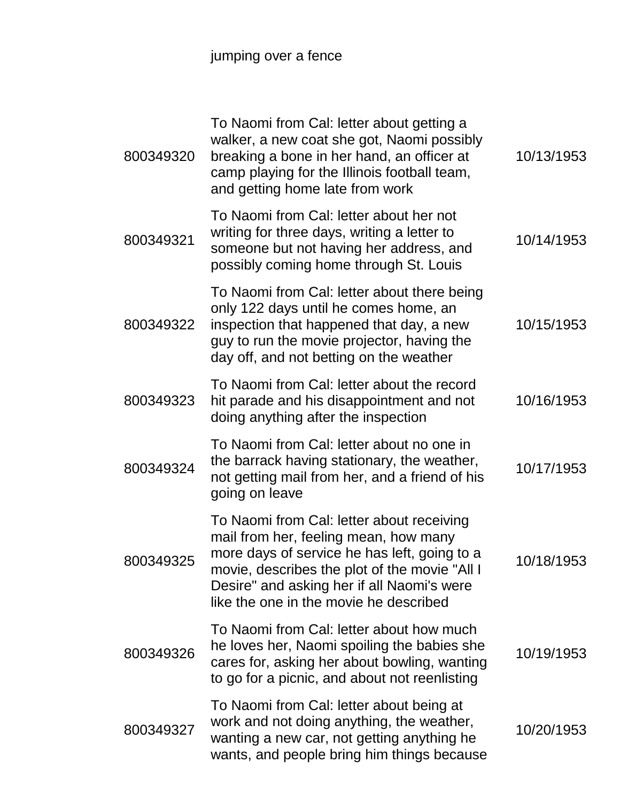## jumping over a fence

| 800349320 | To Naomi from Cal: letter about getting a<br>walker, a new coat she got, Naomi possibly<br>breaking a bone in her hand, an officer at<br>camp playing for the Illinois football team,<br>and getting home late from work                                                    | 10/13/1953 |
|-----------|-----------------------------------------------------------------------------------------------------------------------------------------------------------------------------------------------------------------------------------------------------------------------------|------------|
| 800349321 | To Naomi from Cal: letter about her not<br>writing for three days, writing a letter to<br>someone but not having her address, and<br>possibly coming home through St. Louis                                                                                                 | 10/14/1953 |
| 800349322 | To Naomi from Cal: letter about there being<br>only 122 days until he comes home, an<br>inspection that happened that day, a new<br>guy to run the movie projector, having the<br>day off, and not betting on the weather                                                   | 10/15/1953 |
| 800349323 | To Naomi from Cal: letter about the record<br>hit parade and his disappointment and not<br>doing anything after the inspection                                                                                                                                              | 10/16/1953 |
| 800349324 | To Naomi from Cal: letter about no one in<br>the barrack having stationary, the weather,<br>not getting mail from her, and a friend of his<br>going on leave                                                                                                                | 10/17/1953 |
| 800349325 | To Naomi from Cal: letter about receiving<br>mail from her, feeling mean, how many<br>more days of service he has left, going to a<br>movie, describes the plot of the movie "All I<br>Desire" and asking her if all Naomi's were<br>like the one in the movie he described | 10/18/1953 |
| 800349326 | To Naomi from Cal: letter about how much<br>he loves her, Naomi spoiling the babies she<br>cares for, asking her about bowling, wanting<br>to go for a picnic, and about not reenlisting                                                                                    | 10/19/1953 |
| 800349327 | To Naomi from Cal: letter about being at<br>work and not doing anything, the weather,<br>wanting a new car, not getting anything he<br>wants, and people bring him things because                                                                                           | 10/20/1953 |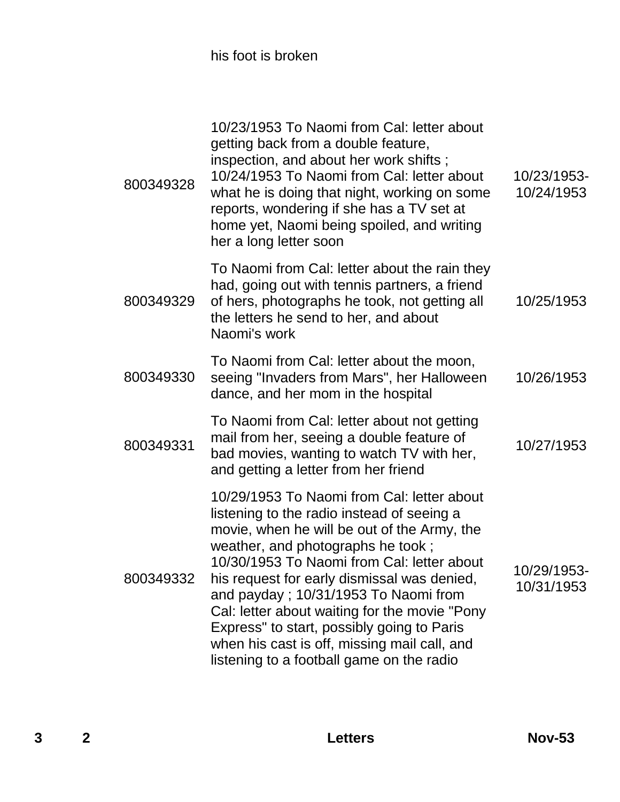his foot is broken

| 800349328 | 10/23/1953 To Naomi from Cal: letter about<br>getting back from a double feature,<br>inspection, and about her work shifts;<br>10/24/1953 To Naomi from Cal: letter about<br>what he is doing that night, working on some<br>reports, wondering if she has a TV set at<br>home yet, Naomi being spoiled, and writing<br>her a long letter soon                                                                                                                                                                 | 10/23/1953-<br>10/24/1953 |
|-----------|----------------------------------------------------------------------------------------------------------------------------------------------------------------------------------------------------------------------------------------------------------------------------------------------------------------------------------------------------------------------------------------------------------------------------------------------------------------------------------------------------------------|---------------------------|
| 800349329 | To Naomi from Cal: letter about the rain they<br>had, going out with tennis partners, a friend<br>of hers, photographs he took, not getting all<br>the letters he send to her, and about<br>Naomi's work                                                                                                                                                                                                                                                                                                       | 10/25/1953                |
| 800349330 | To Naomi from Cal: letter about the moon,<br>seeing "Invaders from Mars", her Halloween<br>dance, and her mom in the hospital                                                                                                                                                                                                                                                                                                                                                                                  | 10/26/1953                |
| 800349331 | To Naomi from Cal: letter about not getting<br>mail from her, seeing a double feature of<br>bad movies, wanting to watch TV with her,<br>and getting a letter from her friend                                                                                                                                                                                                                                                                                                                                  | 10/27/1953                |
| 800349332 | 10/29/1953 To Naomi from Cal: letter about<br>listening to the radio instead of seeing a<br>movie, when he will be out of the Army, the<br>weather, and photographs he took;<br>10/30/1953 To Naomi from Cal: letter about<br>his request for early dismissal was denied,<br>and payday; 10/31/1953 To Naomi from<br>Cal: letter about waiting for the movie "Pony"<br>Express" to start, possibly going to Paris<br>when his cast is off, missing mail call, and<br>listening to a football game on the radio | 10/29/1953-<br>10/31/1953 |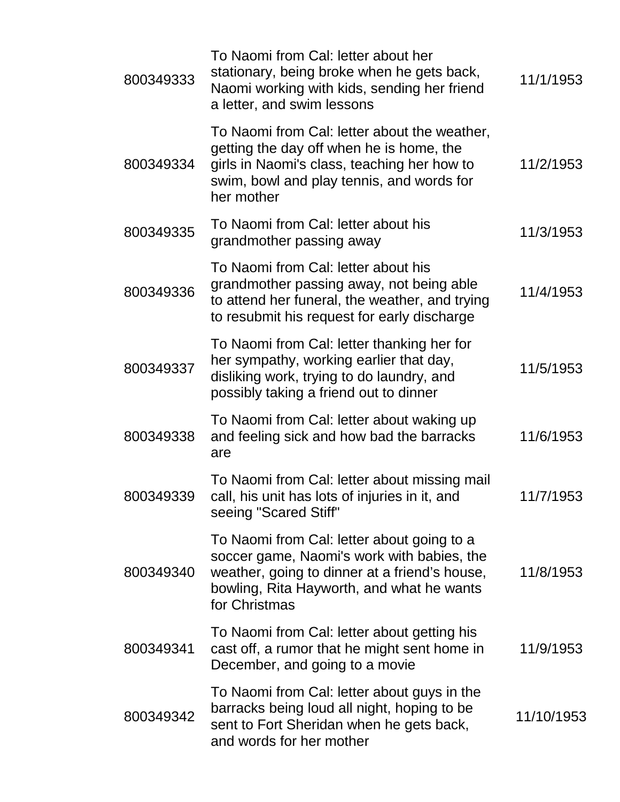| 800349333 | To Naomi from Cal: letter about her<br>stationary, being broke when he gets back,<br>Naomi working with kids, sending her friend<br>a letter, and swim lessons                                          | 11/1/1953  |
|-----------|---------------------------------------------------------------------------------------------------------------------------------------------------------------------------------------------------------|------------|
| 800349334 | To Naomi from Cal: letter about the weather,<br>getting the day off when he is home, the<br>girls in Naomi's class, teaching her how to<br>swim, bowl and play tennis, and words for<br>her mother      | 11/2/1953  |
| 800349335 | To Naomi from Cal: letter about his<br>grandmother passing away                                                                                                                                         | 11/3/1953  |
| 800349336 | To Naomi from Cal: letter about his<br>grandmother passing away, not being able<br>to attend her funeral, the weather, and trying<br>to resubmit his request for early discharge                        | 11/4/1953  |
| 800349337 | To Naomi from Cal: letter thanking her for<br>her sympathy, working earlier that day,<br>disliking work, trying to do laundry, and<br>possibly taking a friend out to dinner                            | 11/5/1953  |
| 800349338 | To Naomi from Cal: letter about waking up<br>and feeling sick and how bad the barracks<br>are                                                                                                           | 11/6/1953  |
| 800349339 | To Naomi from Cal: letter about missing mail<br>call, his unit has lots of injuries in it, and<br>seeing "Scared Stiff"                                                                                 | 11/7/1953  |
| 800349340 | To Naomi from Cal: letter about going to a<br>soccer game, Naomi's work with babies, the<br>weather, going to dinner at a friend's house,<br>bowling, Rita Hayworth, and what he wants<br>for Christmas | 11/8/1953  |
| 800349341 | To Naomi from Cal: letter about getting his<br>cast off, a rumor that he might sent home in<br>December, and going to a movie                                                                           | 11/9/1953  |
| 800349342 | To Naomi from Cal: letter about guys in the<br>barracks being loud all night, hoping to be<br>sent to Fort Sheridan when he gets back,<br>and words for her mother                                      | 11/10/1953 |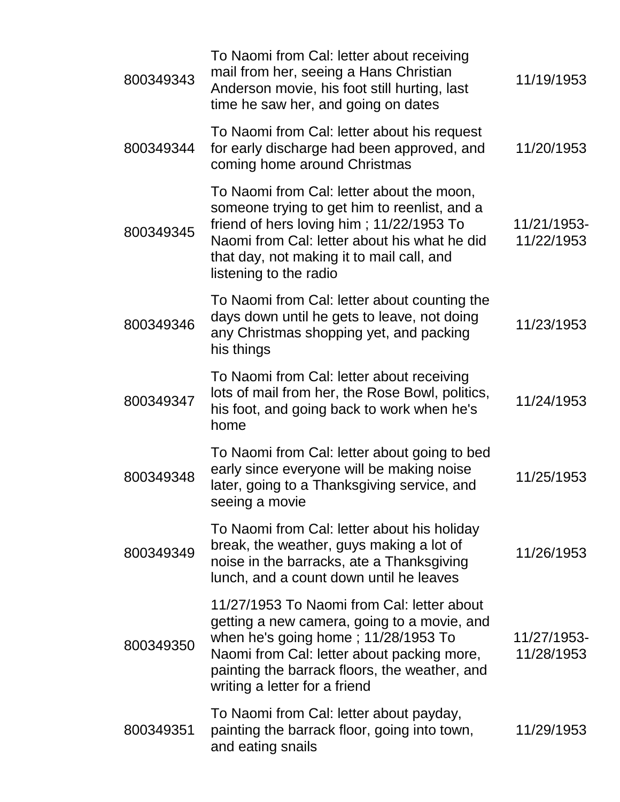| 800349343 | To Naomi from Cal: letter about receiving<br>mail from her, seeing a Hans Christian<br>Anderson movie, his foot still hurting, last<br>time he saw her, and going on dates                                                                                       | 11/19/1953                |
|-----------|------------------------------------------------------------------------------------------------------------------------------------------------------------------------------------------------------------------------------------------------------------------|---------------------------|
| 800349344 | To Naomi from Cal: letter about his request<br>for early discharge had been approved, and<br>coming home around Christmas                                                                                                                                        | 11/20/1953                |
| 800349345 | To Naomi from Cal: letter about the moon,<br>someone trying to get him to reenlist, and a<br>friend of hers loving him; 11/22/1953 To<br>Naomi from Cal: letter about his what he did<br>that day, not making it to mail call, and<br>listening to the radio     | 11/21/1953-<br>11/22/1953 |
| 800349346 | To Naomi from Cal: letter about counting the<br>days down until he gets to leave, not doing<br>any Christmas shopping yet, and packing<br>his things                                                                                                             | 11/23/1953                |
| 800349347 | To Naomi from Cal: letter about receiving<br>lots of mail from her, the Rose Bowl, politics,<br>his foot, and going back to work when he's<br>home                                                                                                               | 11/24/1953                |
| 800349348 | To Naomi from Cal: letter about going to bed<br>early since everyone will be making noise<br>later, going to a Thanksgiving service, and<br>seeing a movie                                                                                                       | 11/25/1953                |
| 800349349 | To Naomi from Cal: letter about his holiday<br>break, the weather, guys making a lot of<br>noise in the barracks, ate a Thanksgiving<br>lunch, and a count down until he leaves                                                                                  | 11/26/1953                |
| 800349350 | 11/27/1953 To Naomi from Cal: letter about<br>getting a new camera, going to a movie, and<br>when he's going home; 11/28/1953 To<br>Naomi from Cal: letter about packing more,<br>painting the barrack floors, the weather, and<br>writing a letter for a friend | 11/27/1953-<br>11/28/1953 |
| 800349351 | To Naomi from Cal: letter about payday,<br>painting the barrack floor, going into town,<br>and eating snails                                                                                                                                                     | 11/29/1953                |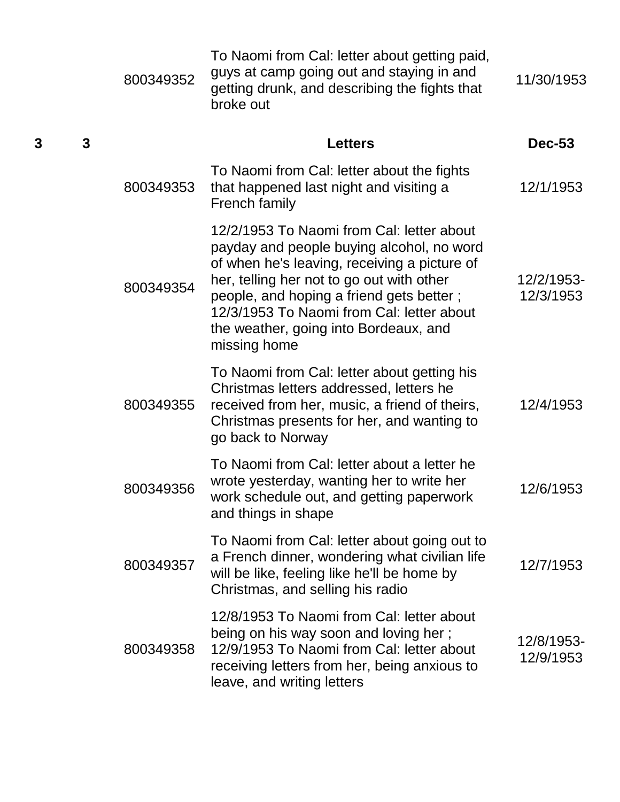|   |              | 800349352 | To Naomi from Cal: letter about getting paid,<br>guys at camp going out and staying in and<br>getting drunk, and describing the fights that<br>broke out                                                                                                                                                                              | 11/30/1953              |
|---|--------------|-----------|---------------------------------------------------------------------------------------------------------------------------------------------------------------------------------------------------------------------------------------------------------------------------------------------------------------------------------------|-------------------------|
| 3 | $\mathbf{3}$ |           | <b>Letters</b>                                                                                                                                                                                                                                                                                                                        | <b>Dec-53</b>           |
|   |              | 800349353 | To Naomi from Cal: letter about the fights<br>that happened last night and visiting a<br><b>French family</b>                                                                                                                                                                                                                         | 12/1/1953               |
|   |              | 800349354 | 12/2/1953 To Naomi from Cal: letter about<br>payday and people buying alcohol, no word<br>of when he's leaving, receiving a picture of<br>her, telling her not to go out with other<br>people, and hoping a friend gets better;<br>12/3/1953 To Naomi from Cal: letter about<br>the weather, going into Bordeaux, and<br>missing home | 12/2/1953-<br>12/3/1953 |
|   |              | 800349355 | To Naomi from Cal: letter about getting his<br>Christmas letters addressed, letters he<br>received from her, music, a friend of theirs,<br>Christmas presents for her, and wanting to<br>go back to Norway                                                                                                                            | 12/4/1953               |
|   |              | 800349356 | To Naomi from Cal: letter about a letter he<br>wrote yesterday, wanting her to write her<br>work schedule out, and getting paperwork<br>and things in shape                                                                                                                                                                           | 12/6/1953               |
|   |              | 800349357 | To Naomi from Cal: letter about going out to<br>a French dinner, wondering what civilian life<br>will be like, feeling like he'll be home by<br>Christmas, and selling his radio                                                                                                                                                      | 12/7/1953               |
|   |              | 800349358 | 12/8/1953 To Naomi from Cal: letter about<br>being on his way soon and loving her;<br>12/9/1953 To Naomi from Cal: letter about<br>receiving letters from her, being anxious to<br>leave, and writing letters                                                                                                                         | 12/8/1953-<br>12/9/1953 |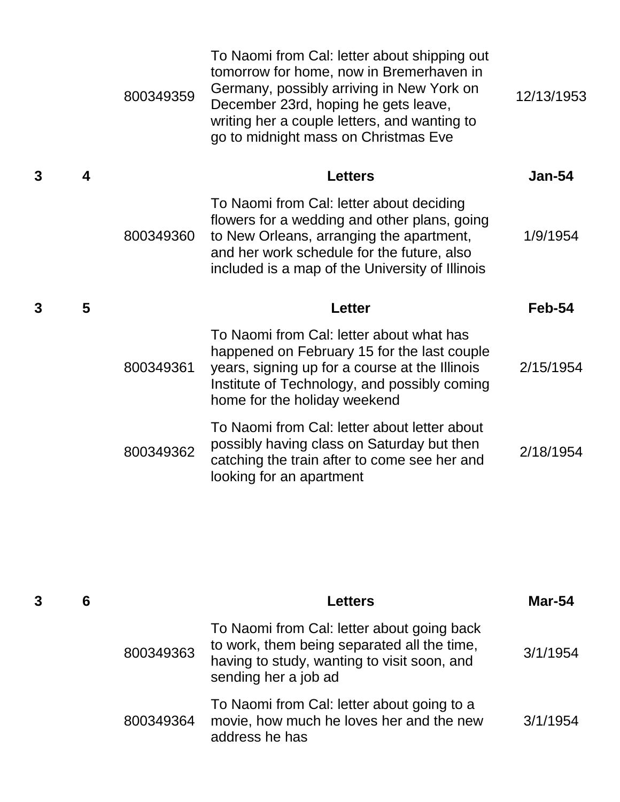|   |                  | 800349359 | To Naomi from Cal: letter about shipping out<br>tomorrow for home, now in Bremerhaven in<br>Germany, possibly arriving in New York on<br>December 23rd, hoping he gets leave,<br>writing her a couple letters, and wanting to<br>go to midnight mass on Christmas Eve | 12/13/1953    |
|---|------------------|-----------|-----------------------------------------------------------------------------------------------------------------------------------------------------------------------------------------------------------------------------------------------------------------------|---------------|
| 3 | $\boldsymbol{4}$ |           | <b>Letters</b>                                                                                                                                                                                                                                                        | <b>Jan-54</b> |
|   |                  | 800349360 | To Naomi from Cal: letter about deciding<br>flowers for a wedding and other plans, going<br>to New Orleans, arranging the apartment,<br>and her work schedule for the future, also<br>included is a map of the University of Illinois                                 | 1/9/1954      |
| 3 | 5                |           | <b>Letter</b>                                                                                                                                                                                                                                                         | Feb-54        |
|   |                  | 800349361 | To Naomi from Cal: letter about what has<br>happened on February 15 for the last couple<br>years, signing up for a course at the Illinois<br>Institute of Technology, and possibly coming<br>home for the holiday weekend                                             | 2/15/1954     |
|   |                  | 800349362 | To Naomi from Cal: letter about letter about<br>possibly having class on Saturday but then<br>catching the train after to come see her and<br>looking for an apartment                                                                                                | 2/18/1954     |

| 6 |           | Letters                                                                                                                                                          | <b>Mar-54</b> |
|---|-----------|------------------------------------------------------------------------------------------------------------------------------------------------------------------|---------------|
|   | 800349363 | To Naomi from Cal: letter about going back<br>to work, them being separated all the time,<br>having to study, wanting to visit soon, and<br>sending her a job ad | 3/1/1954      |
|   | 800349364 | To Naomi from Cal: letter about going to a<br>movie, how much he loves her and the new<br>address he has                                                         | 3/1/1954      |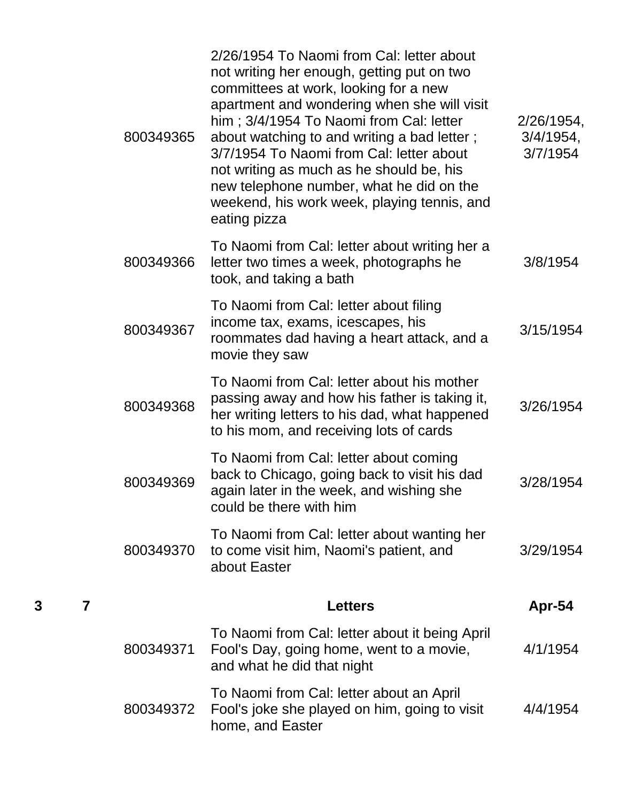|        | 800349365 | 2/26/1954 To Naomi from Cal: letter about<br>not writing her enough, getting put on two<br>committees at work, looking for a new<br>apartment and wondering when she will visit<br>him; 3/4/1954 To Naomi from Cal: letter<br>about watching to and writing a bad letter;<br>3/7/1954 To Naomi from Cal: letter about<br>not writing as much as he should be, his<br>new telephone number, what he did on the<br>weekend, his work week, playing tennis, and<br>eating pizza | $2/26/1954$ ,<br>3/4/1954,<br>3/7/1954 |
|--------|-----------|------------------------------------------------------------------------------------------------------------------------------------------------------------------------------------------------------------------------------------------------------------------------------------------------------------------------------------------------------------------------------------------------------------------------------------------------------------------------------|----------------------------------------|
|        | 800349366 | To Naomi from Cal: letter about writing her a<br>letter two times a week, photographs he<br>took, and taking a bath                                                                                                                                                                                                                                                                                                                                                          | 3/8/1954                               |
|        | 800349367 | To Naomi from Cal: letter about filing<br>income tax, exams, icescapes, his<br>roommates dad having a heart attack, and a<br>movie they saw                                                                                                                                                                                                                                                                                                                                  | 3/15/1954                              |
|        | 800349368 | To Naomi from Cal: letter about his mother<br>passing away and how his father is taking it,<br>her writing letters to his dad, what happened<br>to his mom, and receiving lots of cards                                                                                                                                                                                                                                                                                      | 3/26/1954                              |
|        | 800349369 | To Naomi from Cal: letter about coming<br>back to Chicago, going back to visit his dad<br>again later in the week, and wishing she<br>could be there with him                                                                                                                                                                                                                                                                                                                | 3/28/1954                              |
|        | 800349370 | To Naomi from Cal: letter about wanting her<br>to come visit him, Naomi's patient, and<br>about Easter                                                                                                                                                                                                                                                                                                                                                                       | 3/29/1954                              |
| 3<br>7 |           | <b>Letters</b>                                                                                                                                                                                                                                                                                                                                                                                                                                                               | Apr-54                                 |
|        | 800349371 | To Naomi from Cal: letter about it being April<br>Fool's Day, going home, went to a movie,<br>and what he did that night                                                                                                                                                                                                                                                                                                                                                     | 4/1/1954                               |
|        | 800349372 | To Naomi from Cal: letter about an April<br>Fool's joke she played on him, going to visit<br>home, and Easter                                                                                                                                                                                                                                                                                                                                                                | 4/4/1954                               |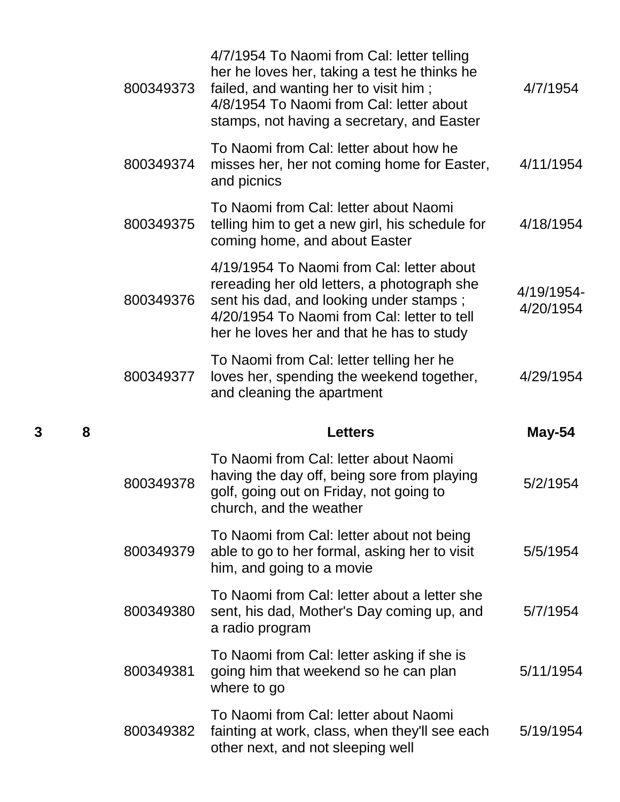|   |   | 800349373 | 4/7/1954 To Naomi from Cal: letter telling<br>her he loves her, taking a test he thinks he<br>failed, and wanting her to visit him;<br>4/8/1954 To Naomi from Cal: letter about<br>stamps, not having a secretary, and Easter   | 4/7/1954                |
|---|---|-----------|---------------------------------------------------------------------------------------------------------------------------------------------------------------------------------------------------------------------------------|-------------------------|
|   |   | 800349374 | To Naomi from Cal: letter about how he<br>misses her, her not coming home for Easter,<br>and picnics                                                                                                                            | 4/11/1954               |
|   |   | 800349375 | To Naomi from Cal: letter about Naomi<br>telling him to get a new girl, his schedule for<br>coming home, and about Easter                                                                                                       | 4/18/1954               |
|   |   | 800349376 | 4/19/1954 To Naomi from Cal: letter about<br>rereading her old letters, a photograph she<br>sent his dad, and looking under stamps;<br>4/20/1954 To Naomi from Cal: letter to tell<br>her he loves her and that he has to study | 4/19/1954-<br>4/20/1954 |
|   |   | 800349377 | To Naomi from Cal: letter telling her he<br>loves her, spending the weekend together,<br>and cleaning the apartment                                                                                                             | 4/29/1954               |
|   |   |           |                                                                                                                                                                                                                                 |                         |
| 3 | 8 |           | <b>Letters</b>                                                                                                                                                                                                                  | May-54                  |
|   |   | 800349378 | To Naomi from Cal: letter about Naomi<br>having the day off, being sore from playing<br>golf, going out on Friday, not going to<br>church, and the weather                                                                      | 5/2/1954                |
|   |   | 800349379 | To Naomi from Cal: letter about not being<br>able to go to her formal, asking her to visit<br>him, and going to a movie                                                                                                         | 5/5/1954                |
|   |   | 800349380 | To Naomi from Cal: letter about a letter she<br>sent, his dad, Mother's Day coming up, and<br>a radio program                                                                                                                   | 5/7/1954                |
|   |   | 800349381 | To Naomi from Cal: letter asking if she is<br>going him that weekend so he can plan<br>where to go                                                                                                                              | 5/11/1954               |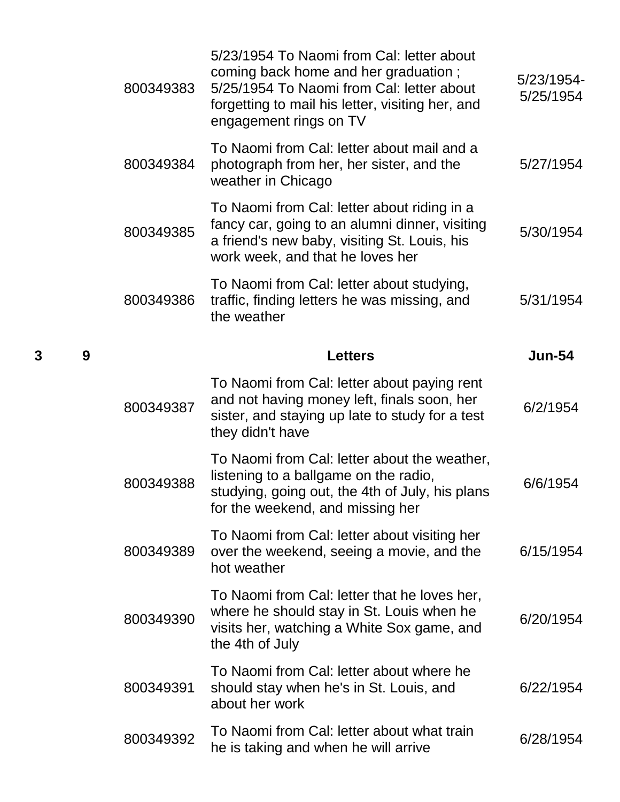| 800349383 | 5/23/1954 To Naomi from Cal: letter about<br>coming back home and her graduation;<br>5/25/1954 To Naomi from Cal: letter about<br>forgetting to mail his letter, visiting her, and<br>engagement rings on TV | 5/23/1954-<br>5/25/1954 |
|-----------|--------------------------------------------------------------------------------------------------------------------------------------------------------------------------------------------------------------|-------------------------|
| 800349384 | To Naomi from Cal: letter about mail and a<br>photograph from her, her sister, and the<br>weather in Chicago                                                                                                 | 5/27/1954               |
| 800349385 | To Naomi from Cal: letter about riding in a<br>fancy car, going to an alumni dinner, visiting<br>a friend's new baby, visiting St. Louis, his<br>work week, and that he loves her                            | 5/30/1954               |
| 800349386 | To Naomi from Cal: letter about studying,<br>traffic, finding letters he was missing, and<br>the weather                                                                                                     | 5/31/1954               |
|           | <b>Letters</b>                                                                                                                                                                                               | <b>Jun-54</b>           |
| 800349387 | To Naomi from Cal: letter about paying rent<br>and not having money left, finals soon, her<br>sister, and staying up late to study for a test<br>they didn't have                                            | 6/2/1954                |
| 800349388 | To Naomi from Cal: letter about the weather,<br>listening to a ballgame on the radio,<br>studying, going out, the 4th of July, his plans<br>for the weekend, and missing her                                 | 6/6/1954                |
| 800349389 | To Naomi from Cal: letter about visiting her<br>over the weekend, seeing a movie, and the<br>hot weather                                                                                                     | 6/15/1954               |
|           |                                                                                                                                                                                                              |                         |
| 800349390 | To Naomi from Cal: letter that he loves her,<br>where he should stay in St. Louis when he<br>visits her, watching a White Sox game, and<br>the 4th of July                                                   | 6/20/1954               |
| 800349391 | To Naomi from Cal: letter about where he<br>should stay when he's in St. Louis, and<br>about her work                                                                                                        | 6/22/1954               |

**3 9 Letters Jun-54**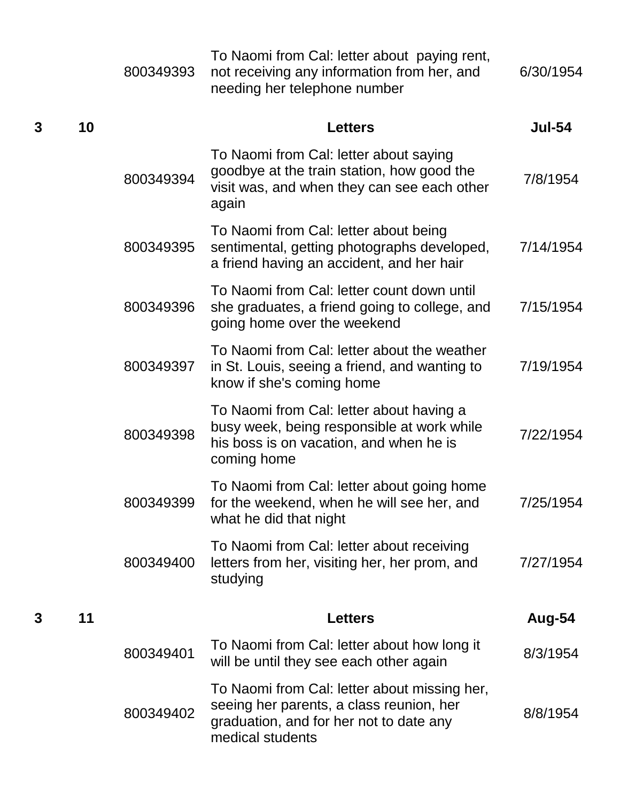|   |    | 800349393 | To Naomi from Cal: letter about paying rent,<br>not receiving any information from her, and<br>needing her telephone number                             | 6/30/1954     |
|---|----|-----------|---------------------------------------------------------------------------------------------------------------------------------------------------------|---------------|
| 3 | 10 |           | <b>Letters</b>                                                                                                                                          | <b>Jul-54</b> |
|   |    | 800349394 | To Naomi from Cal: letter about saying<br>goodbye at the train station, how good the<br>visit was, and when they can see each other<br>again            | 7/8/1954      |
|   |    | 800349395 | To Naomi from Cal: letter about being<br>sentimental, getting photographs developed,<br>a friend having an accident, and her hair                       | 7/14/1954     |
|   |    | 800349396 | To Naomi from Cal: letter count down until<br>she graduates, a friend going to college, and<br>going home over the weekend                              | 7/15/1954     |
|   |    | 800349397 | To Naomi from Cal: letter about the weather<br>in St. Louis, seeing a friend, and wanting to<br>know if she's coming home                               | 7/19/1954     |
|   |    | 800349398 | To Naomi from Cal: letter about having a<br>busy week, being responsible at work while<br>his boss is on vacation, and when he is<br>coming home        | 7/22/1954     |
|   |    | 800349399 | To Naomi from Cal: letter about going home<br>for the weekend, when he will see her, and<br>what he did that night                                      | 7/25/1954     |
|   |    | 800349400 | To Naomi from Cal: letter about receiving<br>letters from her, visiting her, her prom, and<br>studying                                                  | 7/27/1954     |
| 3 | 11 |           | <b>Letters</b>                                                                                                                                          | Aug-54        |
|   |    | 800349401 | To Naomi from Cal: letter about how long it<br>will be until they see each other again                                                                  | 8/3/1954      |
|   |    | 800349402 | To Naomi from Cal: letter about missing her,<br>seeing her parents, a class reunion, her<br>graduation, and for her not to date any<br>medical students | 8/8/1954      |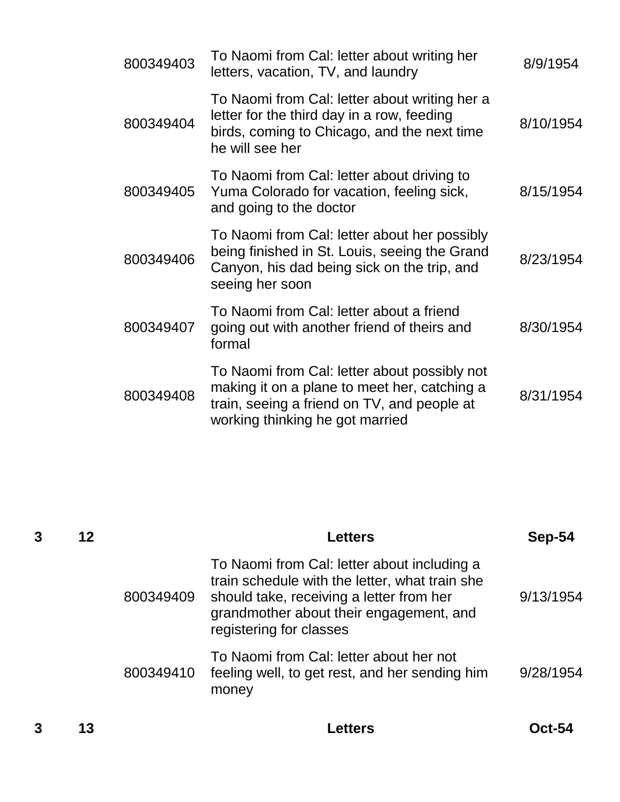| 800349403 | To Naomi from Cal: letter about writing her<br>letters, vacation, TV, and laundry                                                                                              | 8/9/1954  |
|-----------|--------------------------------------------------------------------------------------------------------------------------------------------------------------------------------|-----------|
| 800349404 | To Naomi from Cal: letter about writing her a<br>letter for the third day in a row, feeding<br>birds, coming to Chicago, and the next time<br>he will see her                  | 8/10/1954 |
| 800349405 | To Naomi from Cal: letter about driving to<br>Yuma Colorado for vacation, feeling sick,<br>and going to the doctor                                                             | 8/15/1954 |
| 800349406 | To Naomi from Cal: letter about her possibly<br>being finished in St. Louis, seeing the Grand<br>Canyon, his dad being sick on the trip, and<br>seeing her soon                | 8/23/1954 |
| 800349407 | To Naomi from Cal: letter about a friend<br>going out with another friend of theirs and<br>formal                                                                              | 8/30/1954 |
| 800349408 | To Naomi from Cal: letter about possibly not<br>making it on a plane to meet her, catching a<br>train, seeing a friend on TV, and people at<br>working thinking he got married | 8/31/1954 |

|   | 12 |           | <b>Letters</b>                                                                                                                                                                                                  | Sep-54        |
|---|----|-----------|-----------------------------------------------------------------------------------------------------------------------------------------------------------------------------------------------------------------|---------------|
|   |    | 800349409 | To Naomi from Cal: letter about including a<br>train schedule with the letter, what train she<br>should take, receiving a letter from her<br>grandmother about their engagement, and<br>registering for classes | 9/13/1954     |
|   |    | 800349410 | To Naomi from Cal: letter about her not<br>feeling well, to get rest, and her sending him<br>money                                                                                                              | 9/28/1954     |
| 3 | 13 |           | Letters                                                                                                                                                                                                         | <b>Oct-54</b> |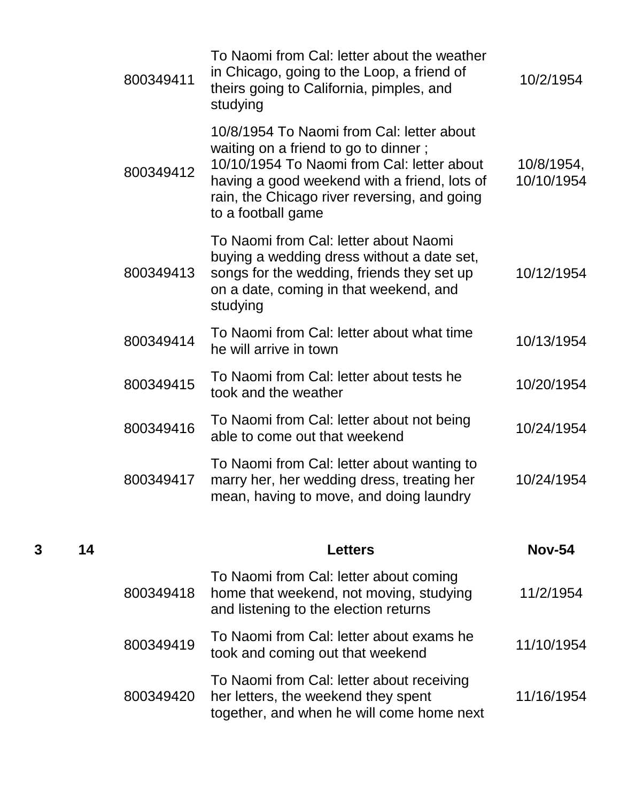| 800349411 | To Naomi from Cal: letter about the weather<br>in Chicago, going to the Loop, a friend of<br>theirs going to California, pimples, and<br>studying                                                                                                     | 10/2/1954                |
|-----------|-------------------------------------------------------------------------------------------------------------------------------------------------------------------------------------------------------------------------------------------------------|--------------------------|
| 800349412 | 10/8/1954 To Naomi from Cal: letter about<br>waiting on a friend to go to dinner;<br>10/10/1954 To Naomi from Cal: letter about<br>having a good weekend with a friend, lots of<br>rain, the Chicago river reversing, and going<br>to a football game | 10/8/1954,<br>10/10/1954 |
| 800349413 | To Naomi from Cal: letter about Naomi<br>buying a wedding dress without a date set,<br>songs for the wedding, friends they set up<br>on a date, coming in that weekend, and<br>studying                                                               | 10/12/1954               |
| 800349414 | To Naomi from Cal: letter about what time<br>he will arrive in town                                                                                                                                                                                   | 10/13/1954               |
| 800349415 | To Naomi from Cal: letter about tests he<br>took and the weather                                                                                                                                                                                      | 10/20/1954               |
| 800349416 | To Naomi from Cal: letter about not being<br>able to come out that weekend                                                                                                                                                                            | 10/24/1954               |
| 800349417 | To Naomi from Cal: letter about wanting to<br>marry her, her wedding dress, treating her<br>mean, having to move, and doing laundry                                                                                                                   | 10/24/1954               |
|           | <b>Letters</b>                                                                                                                                                                                                                                        | <b>Nov-54</b>            |
| 800349418 | To Naomi from Cal: letter about coming<br>home that weekend, not moving, studying<br>and listening to the election returns                                                                                                                            | 11/2/1954                |
| 800349419 | To Naomi from Cal: letter about exams he<br>took and coming out that weekend                                                                                                                                                                          | 11/10/1954               |
| 800349420 | To Naomi from Cal: letter about receiving<br>her letters, the weekend they spent<br>together, and when he will come home next                                                                                                                         | 11/16/1954               |

**3 14 Letters Nov-54**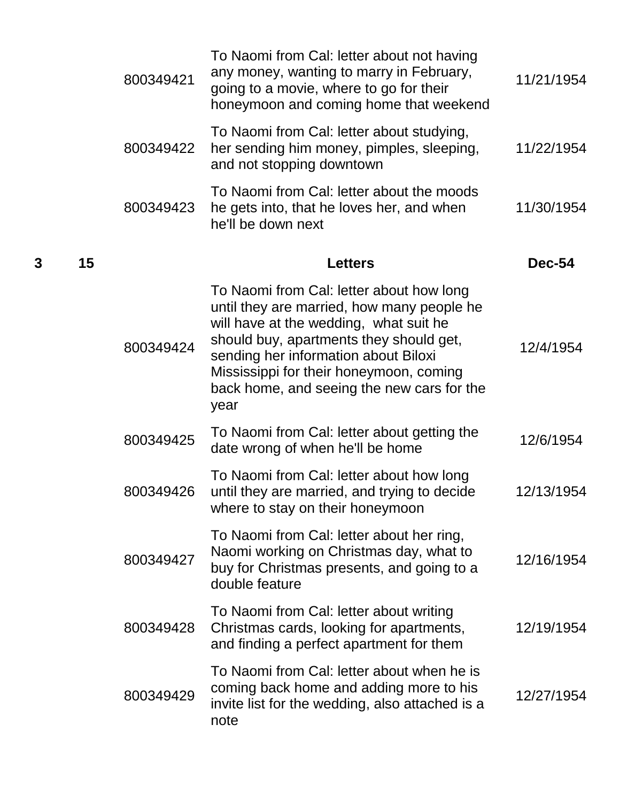|   |    | 800349421 | To Naomi from Cal: letter about not having<br>any money, wanting to marry in February,<br>going to a movie, where to go for their<br>honeymoon and coming home that weekend                                                                                                                                          | 11/21/1954    |
|---|----|-----------|----------------------------------------------------------------------------------------------------------------------------------------------------------------------------------------------------------------------------------------------------------------------------------------------------------------------|---------------|
|   |    | 800349422 | To Naomi from Cal: letter about studying,<br>her sending him money, pimples, sleeping,<br>and not stopping downtown                                                                                                                                                                                                  | 11/22/1954    |
|   |    | 800349423 | To Naomi from Cal: letter about the moods<br>he gets into, that he loves her, and when<br>he'll be down next                                                                                                                                                                                                         | 11/30/1954    |
| 3 | 15 |           | <b>Letters</b>                                                                                                                                                                                                                                                                                                       | <b>Dec-54</b> |
|   |    | 800349424 | To Naomi from Cal: letter about how long<br>until they are married, how many people he<br>will have at the wedding, what suit he<br>should buy, apartments they should get,<br>sending her information about Biloxi<br>Mississippi for their honeymoon, coming<br>back home, and seeing the new cars for the<br>year | 12/4/1954     |
|   |    | 800349425 | To Naomi from Cal: letter about getting the<br>date wrong of when he'll be home                                                                                                                                                                                                                                      | 12/6/1954     |
|   |    | 800349426 | To Naomi from Cal: letter about how long<br>until they are married, and trying to decide<br>where to stay on their honeymoon                                                                                                                                                                                         | 12/13/1954    |
|   |    | 800349427 | To Naomi from Cal: letter about her ring,<br>Naomi working on Christmas day, what to<br>buy for Christmas presents, and going to a<br>double feature                                                                                                                                                                 | 12/16/1954    |
|   |    | 800349428 | To Naomi from Cal: letter about writing<br>Christmas cards, looking for apartments,<br>and finding a perfect apartment for them                                                                                                                                                                                      | 12/19/1954    |
|   |    | 800349429 | To Naomi from Cal: letter about when he is<br>coming back home and adding more to his<br>invite list for the wedding, also attached is a<br>note                                                                                                                                                                     | 12/27/1954    |